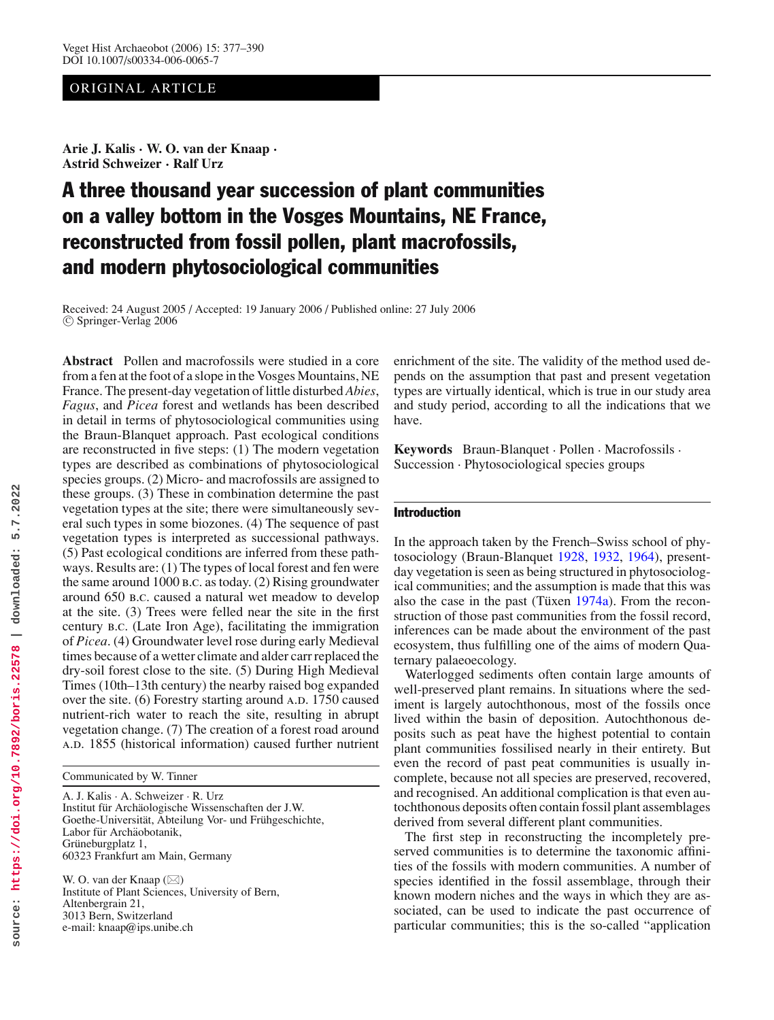# ORIGINAL ARTICLE

**Arie J. Kalis · W. O. van der Knaap · Astrid Schweizer · Ralf Urz**

# A three thousand year succession of plant communities on a valley bottom in the Vosges Mountains, NE France, reconstructed from fossil pollen, plant macrofossils, and modern phytosociological communities

Received: 24 August 2005 / Accepted: 19 January 2006 / Published online: 27 July 2006 <sup>C</sup> Springer-Verlag 2006

**Abstract** Pollen and macrofossils were studied in a core from a fen at the foot of a slope in the Vosges Mountains, NE France. The present-day vegetation of little disturbed *Abies*, *Fagus*, and *Picea* forest and wetlands has been described in detail in terms of phytosociological communities using the Braun-Blanquet approach. Past ecological conditions are reconstructed in five steps: (1) The modern vegetation types are described as combinations of phytosociological species groups. (2) Micro- and macrofossils are assigned to these groups. (3) These in combination determine the past vegetation types at the site; there were simultaneously several such types in some biozones. (4) The sequence of past vegetation types is interpreted as successional pathways. (5) Past ecological conditions are inferred from these pathways. Results are: (1) The types of local forest and fen were the same around 1000 b.c. as today. (2) Rising groundwater around 650 b.c. caused a natural wet meadow to develop at the site. (3) Trees were felled near the site in the first century b.c. (Late Iron Age), facilitating the immigration of *Picea*. (4) Groundwater level rose during early Medieval times because of a wetter climate and alder carr replaced the dry-soil forest close to the site. (5) During High Medieval Times (10th–13th century) the nearby raised bog expanded over the site.  $(6)$  Forestry starting around A.D. 1750 caused nutrient-rich water to reach the site, resulting in abrupt vegetation change. (7) The creation of a forest road around A.D. 1855 (historical information) caused further nutrient

A. J. Kalis · A. Schweizer · R. Urz Institut für Archäologische Wissenschaften der J.W. Goethe-Universität, Abteilung Vor- und Frühgeschichte, Labor für Archäobotanik, Grüneburgplatz 1, 60323 Frankfurt am Main, Germany

W. O. van der Knaap  $(\boxtimes)$ Institute of Plant Sciences, University of Bern, Altenbergrain 21, 3013 Bern, Switzerland e-mail: knaap@ips.unibe.ch

enrichment of the site. The validity of the method used depends on the assumption that past and present vegetation types are virtually identical, which is true in our study area and study period, according to all the indications that we have.

**Keywords** Braun-Blanquet . Pollen . Macrofossils . Succession . Phytosociological species groups

### Introduction

In the approach taken by the French–Swiss school of phytosociology (Braun-Blanquet 1928, 1932, 1964), presentday vegetation is seen as being structured in phytosociological communities; and the assumption is made that this was also the case in the past (Tüxen  $1974a$ ). From the reconstruction of those past communities from the fossil record, inferences can be made about the environment of the past ecosystem, thus fulfilling one of the aims of modern Quaternary palaeoecology.

Waterlogged sediments often contain large amounts of well-preserved plant remains. In situations where the sediment is largely autochthonous, most of the fossils once lived within the basin of deposition. Autochthonous deposits such as peat have the highest potential to contain plant communities fossilised nearly in their entirety. But even the record of past peat communities is usually incomplete, because not all species are preserved, recovered, and recognised. An additional complication is that even autochthonous deposits often contain fossil plant assemblages derived from several different plant communities.

The first step in reconstructing the incompletely preserved communities is to determine the taxonomic affinities of the fossils with modern communities. A number of species identified in the fossil assemblage, through their known modern niches and the ways in which they are associated, can be used to indicate the past occurrence of particular communities; this is the so-called "application

Communicated by W. Tinner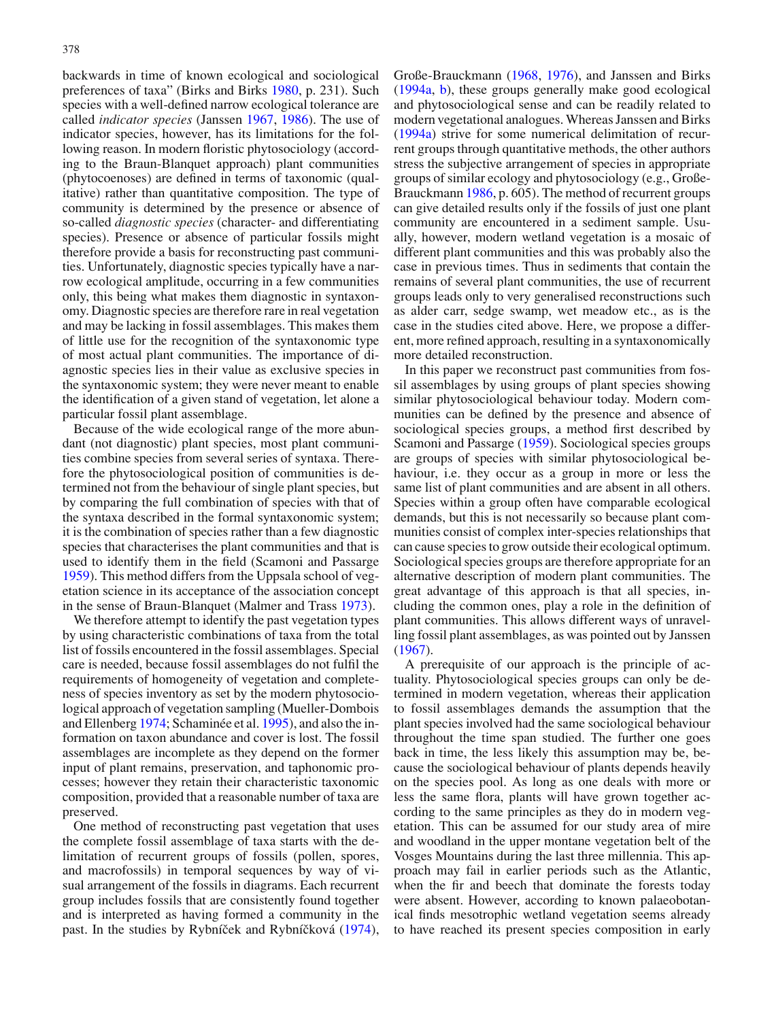backwards in time of known ecological and sociological preferences of taxa" (Birks and Birks 1980, p. 231). Such species with a well-defined narrow ecological tolerance are called *indicator species* (Janssen 1967, 1986). The use of indicator species, however, has its limitations for the following reason. In modern floristic phytosociology (according to the Braun-Blanquet approach) plant communities (phytocoenoses) are defined in terms of taxonomic (qualitative) rather than quantitative composition. The type of community is determined by the presence or absence of so-called *diagnostic species* (character- and differentiating species). Presence or absence of particular fossils might therefore provide a basis for reconstructing past communities. Unfortunately, diagnostic species typically have a narrow ecological amplitude, occurring in a few communities only, this being what makes them diagnostic in syntaxonomy. Diagnostic species are therefore rare in real vegetation and may be lacking in fossil assemblages. This makes them of little use for the recognition of the syntaxonomic type of most actual plant communities. The importance of diagnostic species lies in their value as exclusive species in the syntaxonomic system; they were never meant to enable the identification of a given stand of vegetation, let alone a particular fossil plant assemblage.

Because of the wide ecological range of the more abundant (not diagnostic) plant species, most plant communities combine species from several series of syntaxa. Therefore the phytosociological position of communities is determined not from the behaviour of single plant species, but by comparing the full combination of species with that of the syntaxa described in the formal syntaxonomic system; it is the combination of species rather than a few diagnostic species that characterises the plant communities and that is used to identify them in the field (Scamoni and Passarge 1959). This method differs from the Uppsala school of vegetation science in its acceptance of the association concept in the sense of Braun-Blanquet (Malmer and Trass 1973).

We therefore attempt to identify the past vegetation types by using characteristic combinations of taxa from the total list of fossils encountered in the fossil assemblages. Special care is needed, because fossil assemblages do not fulfil the requirements of homogeneity of vegetation and completeness of species inventory as set by the modern phytosociological approach of vegetation sampling (Mueller-Dombois and Ellenberg 1974; Schaminée et al. 1995), and also the information on taxon abundance and cover is lost. The fossil assemblages are incomplete as they depend on the former input of plant remains, preservation, and taphonomic processes; however they retain their characteristic taxonomic composition, provided that a reasonable number of taxa are preserved.

One method of reconstructing past vegetation that uses the complete fossil assemblage of taxa starts with the delimitation of recurrent groups of fossils (pollen, spores, and macrofossils) in temporal sequences by way of visual arrangement of the fossils in diagrams. Each recurrent group includes fossils that are consistently found together and is interpreted as having formed a community in the past. In the studies by Rybníček and Rybníčková (1974),

Große-Brauckmann (1968, 1976), and Janssen and Birks (1994a, b), these groups generally make good ecological and phytosociological sense and can be readily related to modern vegetational analogues. Whereas Janssen and Birks (1994a) strive for some numerical delimitation of recurrent groups through quantitative methods, the other authors stress the subjective arrangement of species in appropriate groups of similar ecology and phytosociology (e.g., Große-Brauckmann 1986, p. 605). The method of recurrent groups can give detailed results only if the fossils of just one plant community are encountered in a sediment sample. Usually, however, modern wetland vegetation is a mosaic of different plant communities and this was probably also the case in previous times. Thus in sediments that contain the remains of several plant communities, the use of recurrent groups leads only to very generalised reconstructions such as alder carr, sedge swamp, wet meadow etc., as is the case in the studies cited above. Here, we propose a different, more refined approach, resulting in a syntaxonomically more detailed reconstruction.

In this paper we reconstruct past communities from fossil assemblages by using groups of plant species showing similar phytosociological behaviour today. Modern communities can be defined by the presence and absence of sociological species groups, a method first described by Scamoni and Passarge (1959). Sociological species groups are groups of species with similar phytosociological behaviour, i.e. they occur as a group in more or less the same list of plant communities and are absent in all others. Species within a group often have comparable ecological demands, but this is not necessarily so because plant communities consist of complex inter-species relationships that can cause species to grow outside their ecological optimum. Sociological species groups are therefore appropriate for an alternative description of modern plant communities. The great advantage of this approach is that all species, including the common ones, play a role in the definition of plant communities. This allows different ways of unravelling fossil plant assemblages, as was pointed out by Janssen (1967).

A prerequisite of our approach is the principle of actuality. Phytosociological species groups can only be determined in modern vegetation, whereas their application to fossil assemblages demands the assumption that the plant species involved had the same sociological behaviour throughout the time span studied. The further one goes back in time, the less likely this assumption may be, because the sociological behaviour of plants depends heavily on the species pool. As long as one deals with more or less the same flora, plants will have grown together according to the same principles as they do in modern vegetation. This can be assumed for our study area of mire and woodland in the upper montane vegetation belt of the Vosges Mountains during the last three millennia. This approach may fail in earlier periods such as the Atlantic, when the fir and beech that dominate the forests today were absent. However, according to known palaeobotanical finds mesotrophic wetland vegetation seems already to have reached its present species composition in early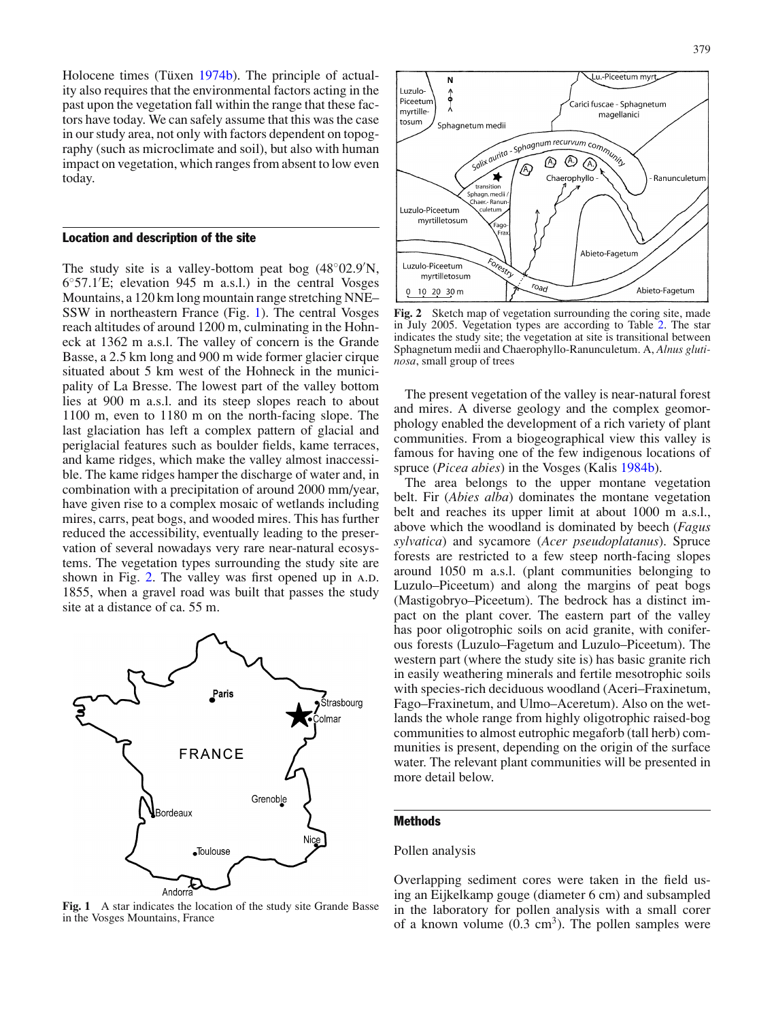Holocene times (Tüxen  $1974b$ ). The principle of actuality also requires that the environmental factors acting in the past upon the vegetation fall within the range that these factors have today. We can safely assume that this was the case in our study area, not only with factors dependent on topography (such as microclimate and soil), but also with human impact on vegetation, which ranges from absent to low even today.

#### Location and description of the site

The study site is a valley-bottom peat bog  $(48^{\circ}02.9^{\prime}N,$ 6◦57.1 E; elevation 945 m a.s.l.) in the central Vosges Mountains, a 120 km long mountain range stretching NNE– SSW in northeastern France (Fig. 1). The central Vosges reach altitudes of around 1200 m, culminating in the Hohneck at 1362 m a.s.l. The valley of concern is the Grande Basse, a 2.5 km long and 900 m wide former glacier cirque situated about 5 km west of the Hohneck in the municipality of La Bresse. The lowest part of the valley bottom lies at 900 m a.s.l. and its steep slopes reach to about 1100 m, even to 1180 m on the north-facing slope. The last glaciation has left a complex pattern of glacial and periglacial features such as boulder fields, kame terraces, and kame ridges, which make the valley almost inaccessible. The kame ridges hamper the discharge of water and, in combination with a precipitation of around 2000 mm/year, have given rise to a complex mosaic of wetlands including mires, carrs, peat bogs, and wooded mires. This has further reduced the accessibility, eventually leading to the preservation of several nowadays very rare near-natural ecosystems. The vegetation types surrounding the study site are shown in Fig.  $2$ . The valley was first opened up in  $A.D.$ 1855, when a gravel road was built that passes the study site at a distance of ca. 55 m.



in the Vosges Mountains, France



**Fig. 2** Sketch map of vegetation surrounding the coring site, made in July 2005. Vegetation types are according to Table 2. The star indicates the study site; the vegetation at site is transitional between Sphagnetum medii and Chaerophyllo-Ranunculetum. A, *Alnus glutinosa*, small group of trees

The present vegetation of the valley is near-natural forest and mires. A diverse geology and the complex geomorphology enabled the development of a rich variety of plant communities. From a biogeographical view this valley is famous for having one of the few indigenous locations of spruce (*Picea abies*) in the Vosges (Kalis 1984b).

The area belongs to the upper montane vegetation belt. Fir (*Abies alba*) dominates the montane vegetation belt and reaches its upper limit at about 1000 m a.s.l., above which the woodland is dominated by beech (*Fagus sylvatica*) and sycamore (*Acer pseudoplatanus*). Spruce forests are restricted to a few steep north-facing slopes around 1050 m a.s.l. (plant communities belonging to Luzulo–Piceetum) and along the margins of peat bogs (Mastigobryo–Piceetum). The bedrock has a distinct impact on the plant cover. The eastern part of the valley has poor oligotrophic soils on acid granite, with coniferous forests (Luzulo–Fagetum and Luzulo–Piceetum). The western part (where the study site is) has basic granite rich in easily weathering minerals and fertile mesotrophic soils with species-rich deciduous woodland (Aceri–Fraxinetum, Fago–Fraxinetum, and Ulmo–Aceretum). Also on the wetlands the whole range from highly oligotrophic raised-bog communities to almost eutrophic megaforb (tall herb) communities is present, depending on the origin of the surface water. The relevant plant communities will be presented in more detail below.

### **Methods**

#### Pollen analysis

Overlapping sediment cores were taken in the field using an Eijkelkamp gouge (diameter 6 cm) and subsampled in the laboratory for pollen analysis with a small corer of a known volume  $(0.3 \text{ cm}^3)$ . The pollen samples were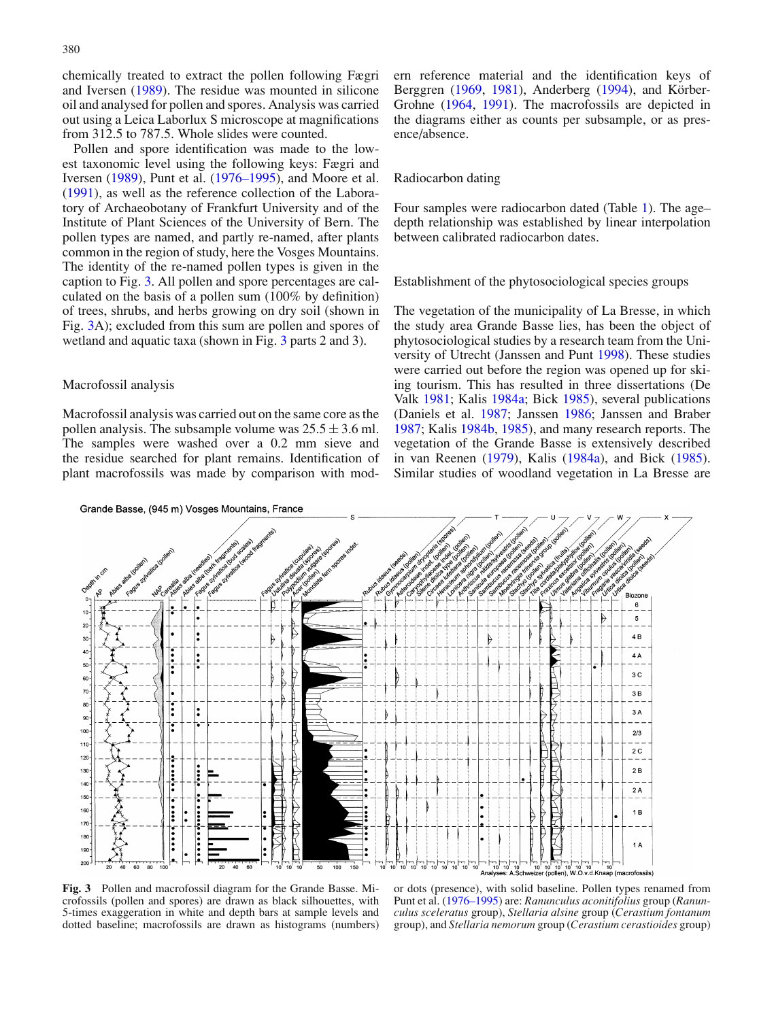from 312.5 to 787.5. Whole slides were counted. Pollen and spore identification was made to the lowest taxonomic level using the following keys: Fægri and Iversen (1989), Punt et al. (1976–1995), and Moore et al. (1991), as well as the reference collection of the Laboratory of Archaeobotany of Frankfurt University and of the Institute of Plant Sciences of the University of Bern. The pollen types are named, and partly re-named, after plants common in the region of study, here the Vosges Mountains. The identity of the re-named pollen types is given in the caption to Fig. 3. All pollen and spore percentages are calculated on the basis of a pollen sum (100% by definition) of trees, shrubs, and herbs growing on dry soil (shown in Fig. 3A); excluded from this sum are pollen and spores of wetland and aquatic taxa (shown in Fig. 3 parts 2 and 3).

#### Macrofossil analysis

Macrofossil analysis was carried out on the same core as the pollen analysis. The subsample volume was  $25.5 \pm 3.6$  ml. The samples were washed over a 0.2 mm sieve and the residue searched for plant remains. Identification of plant macrofossils was made by comparison with modern reference material and the identification keys of Berggren (1969, 1981), Anderberg (1994), and Körber-Grohne (1964, 1991). The macrofossils are depicted in the diagrams either as counts per subsample, or as presence/absence.

### Radiocarbon dating

Four samples were radiocarbon dated (Table 1). The age– depth relationship was established by linear interpolation between calibrated radiocarbon dates.

## Establishment of the phytosociological species groups

The vegetation of the municipality of La Bresse, in which the study area Grande Basse lies, has been the object of phytosociological studies by a research team from the University of Utrecht (Janssen and Punt 1998). These studies were carried out before the region was opened up for skiing tourism. This has resulted in three dissertations (De Valk 1981; Kalis 1984a; Bick 1985), several publications (Daniels et al. 1987; Janssen 1986; Janssen and Braber 1987; Kalis 1984b, 1985), and many research reports. The vegetation of the Grande Basse is extensively described in van Reenen (1979), Kalis (1984a), and Bick (1985). Similar studies of woodland vegetation in La Bresse are



**Fig. 3** Pollen and macrofossil diagram for the Grande Basse. Microfossils (pollen and spores) are drawn as black silhouettes, with 5-times exaggeration in white and depth bars at sample levels and dotted baseline; macrofossils are drawn as histograms (numbers)

or dots (presence), with solid baseline. Pollen types renamed from Punt et al. (1976–1995) are: *Ranunculus aconitifolius* group (*Ranunculus sceleratus* group), *Stellaria alsine* group (*Cerastium fontanum* group), and *Stellaria nemorum* group (*Cerastium cerastioides* group)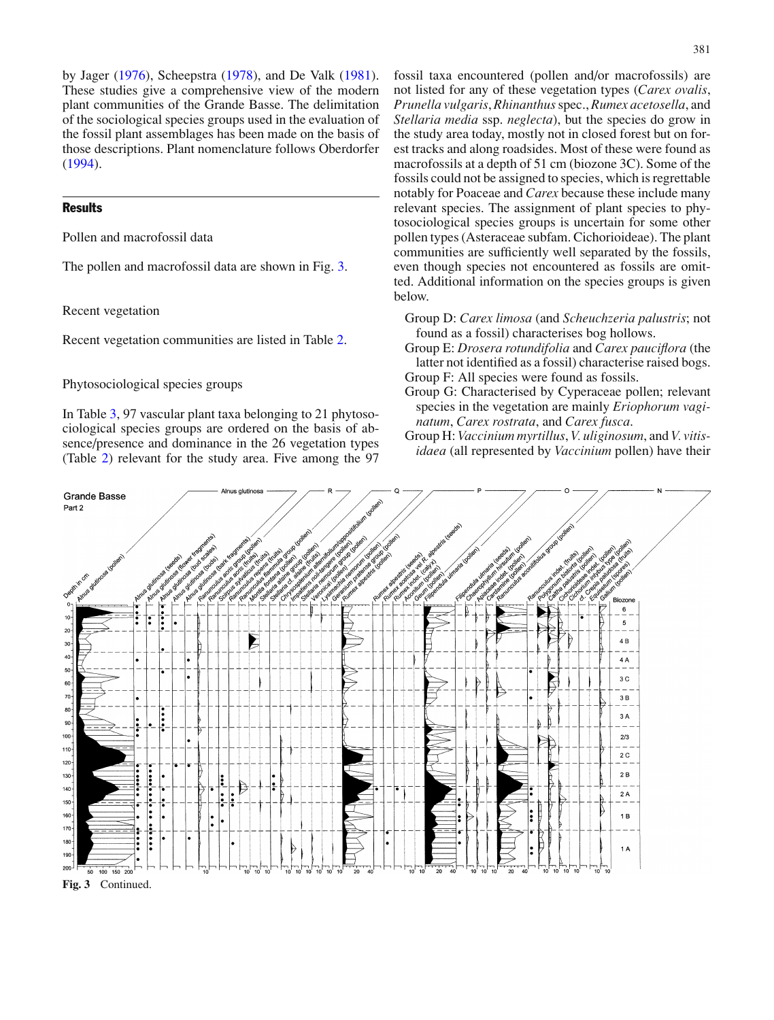by Jager (1976), Scheepstra (1978), and De Valk (1981). These studies give a comprehensive view of the modern plant communities of the Grande Basse. The delimitation of the sociological species groups used in the evaluation of the fossil plant assemblages has been made on the basis of those descriptions. Plant nomenclature follows Oberdorfer (1994).

## **Results**

Pollen and macrofossil data

The pollen and macrofossil data are shown in Fig. 3.

Recent vegetation

Recent vegetation communities are listed in Table 2.

## Phytosociological species groups

In Table 3, 97 vascular plant taxa belonging to 21 phytosociological species groups are ordered on the basis of absence/presence and dominance in the 26 vegetation types (Table 2) relevant for the study area. Five among the 97

fossil taxa encountered (pollen and/or macrofossils) are not listed for any of these vegetation types (*Carex ovalis*, *Prunella vulgaris*, *Rhinanthus*spec., *Rumex acetosella*, and *Stellaria media* ssp. *neglecta*), but the species do grow in the study area today, mostly not in closed forest but on forest tracks and along roadsides. Most of these were found as macrofossils at a depth of 51 cm (biozone 3C). Some of the fossils could not be assigned to species, which is regrettable notably for Poaceae and *Carex* because these include many relevant species. The assignment of plant species to phytosociological species groups is uncertain for some other pollen types (Asteraceae subfam. Cichorioideae). The plant communities are sufficiently well separated by the fossils, even though species not encountered as fossils are omitted. Additional information on the species groups is given below.

- Group D: *Carex limosa* (and *Scheuchzeria palustris*; not found as a fossil) characterises bog hollows.
- Group E: *Drosera rotundifolia* and *Carex pauciflora* (the latter not identified as a fossil) characterise raised bogs. Group F: All species were found as fossils.
- Group G: Characterised by Cyperaceae pollen; relevant species in the vegetation are mainly *Eriophorum vaginatum*, *Carex rostrata*, and *Carex fusca*.
- Group H: *Vaccinium myrtillus*, *V. uliginosum*, and *V. vitisidaea* (all represented by *Vaccinium* pollen) have their



**Fig. 3** Continued.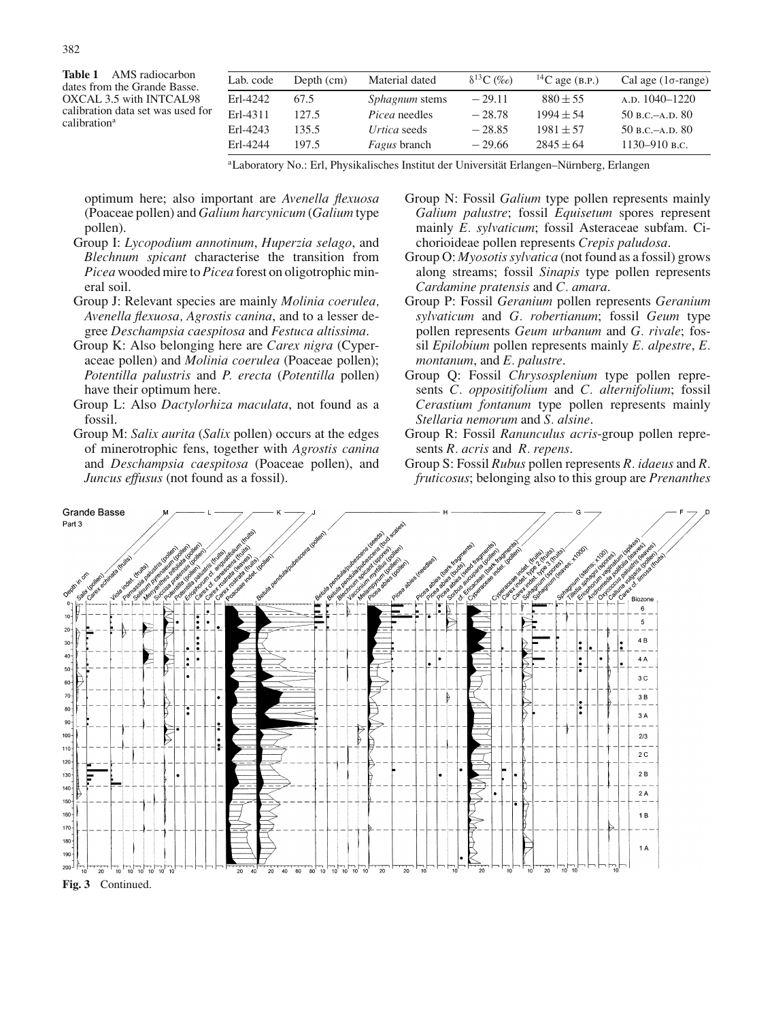**Table 1** AMS radiocarbon dates from the Grande Basse. OXCAL 3.5 with INTCAL98 calibration data set was used for calibration<sup>a</sup>

| Lab. code | Depth $(cm)$ | Material dated        | $\delta^{13}C$ (%o) | ${}^{14}C$ age (B.P.) | Cal age $(1\sigma$ -range) |
|-----------|--------------|-----------------------|---------------------|-----------------------|----------------------------|
| Erl-4242  | 67.5         | <i>Sphagnum</i> stems | $-29.11$            | $880 \pm 55$          | $A.D. 1040 - 1220$         |
| Erl-4311  | 127.5        | <i>Picea</i> needles  | $-28.78$            | $1994 + 54$           | 50 B.C. $-A.D. 80$         |
| Erl-4243  | 135.5        | Urtica seeds          | $-28.85$            | $1981 \pm 57$         | $50 B.C.-A.D. 80$          |
| Erl-4244  | 197.5        | <i>Fagus</i> branch   | $-29.66$            | $2845 \pm 64$         | $1130 - 910$ B.C.          |

<sup>a</sup>Laboratory No.: Erl, Physikalisches Institut der Universität Erlangen-Nürnberg, Erlangen

optimum here; also important are *Avenella flexuosa* (Poaceae pollen) and *Galium harcynicum* (*Galium* type pollen).

- Group I: *Lycopodium annotinum*, *Huperzia selago*, and *Blechnum spicant* characterise the transition from *Picea* wooded mire to *Picea* forest on oligotrophic mineral soil.
- Group J: Relevant species are mainly *Molinia coerulea, Avenella flexuosa, Agrostis canina*, and to a lesser degree *Deschampsia caespitosa* and *Festuca altissima*.
- Group K: Also belonging here are *Carex nigra* (Cyperaceae pollen) and *Molinia coerulea* (Poaceae pollen); *Potentilla palustris* and *P. erecta* (*Potentilla* pollen) have their optimum here.
- Group L: Also *Dactylorhiza maculata*, not found as a fossil.
- Group M: *Salix aurita* (*Salix* pollen) occurs at the edges of minerotrophic fens, together with *Agrostis canina* and *Deschampsia caespitosa* (Poaceae pollen), and *Juncus effusus* (not found as a fossil).
- Group N: Fossil *Galium* type pollen represents mainly *Galium palustre*; fossil *Equisetum* spores represent mainly *E. sylvaticum*; fossil Asteraceae subfam. Cichorioideae pollen represents *Crepis paludosa*.
- Group O: *Myosotis sylvatica* (not found as a fossil) grows along streams; fossil *Sinapis* type pollen represents *Cardamine pratensis* and *C. amara*.
- Group P: Fossil *Geranium* pollen represents *Geranium sylvaticum* and *G. robertianum*; fossil *Geum* type pollen represents *Geum urbanum* and *G. rivale*; fossil *Epilobium* pollen represents mainly *E. alpestre*, *E. montanum*, and *E. palustre*.
- Group Q: Fossil *Chrysosplenium* type pollen represents *C. oppositifolium* and *C. alternifolium*; fossil *Cerastium fontanum* type pollen represents mainly *Stellaria nemorum* and *S. alsine*.
- Group R: Fossil *Ranunculus acris*-group pollen represents *R. acris* and *R. repens*.
- Group S: Fossil *Rubus* pollen represents *R. idaeus* and *R. fruticosus*; belonging also to this group are *Prenanthes*



**Fig. 3** Continued.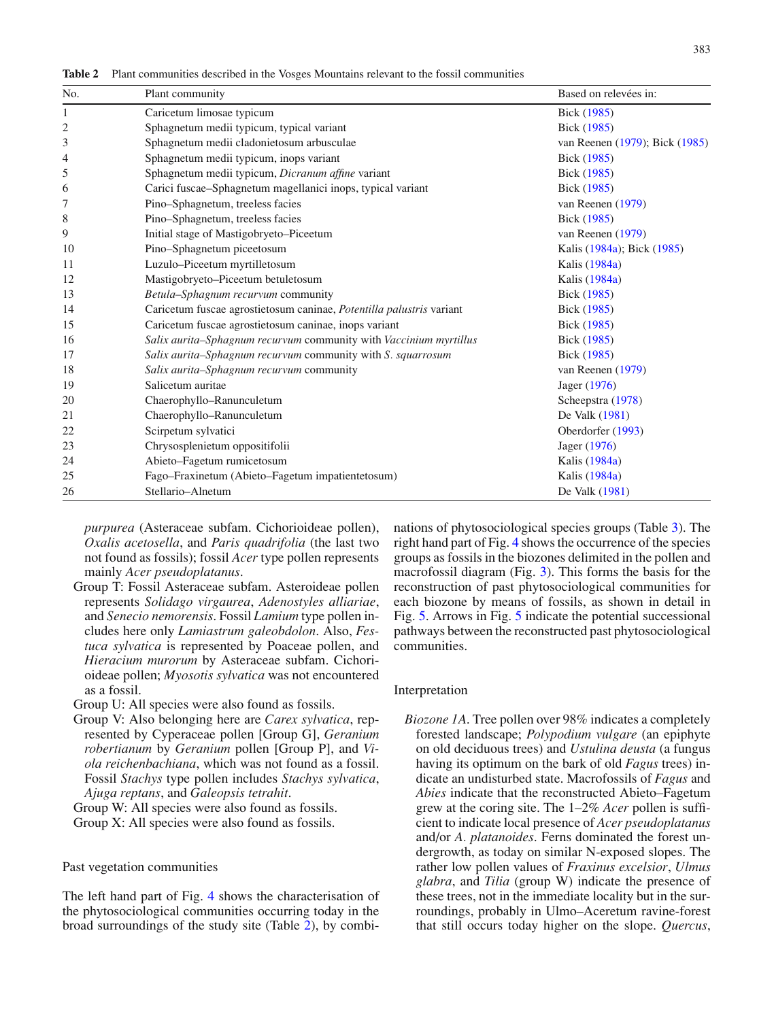**Table 2** Plant communities described in the Vosges Mountains relevant to the fossil communities

| No.            | Plant community                                                      | Based on relevées in:          |
|----------------|----------------------------------------------------------------------|--------------------------------|
| 1              | Caricetum limosae typicum                                            | Bick (1985)                    |
| $\overline{c}$ | Sphagnetum medii typicum, typical variant                            | Bick (1985)                    |
| 3              | Sphagnetum medii cladonietosum arbusculae                            | van Reenen (1979); Bick (1985) |
| 4              | Sphagnetum medii typicum, inops variant                              | Bick (1985)                    |
| 5              | Sphagnetum medii typicum, Dicranum affine variant                    | Bick (1985)                    |
| 6              | Carici fuscae-Sphagnetum magellanici inops, typical variant          | Bick (1985)                    |
| 7              | Pino-Sphagnetum, treeless facies                                     | van Reenen (1979)              |
| 8              | Pino-Sphagnetum, treeless facies                                     | Bick (1985)                    |
| 9              | Initial stage of Mastigobryeto-Piceetum                              | van Reenen (1979)              |
| 10             | Pino-Sphagnetum piceetosum                                           | Kalis (1984a); Bick (1985)     |
| 11             | Luzulo-Piceetum myrtilletosum                                        | Kalis (1984a)                  |
| 12             | Mastigobryeto-Piceetum betuletosum                                   | Kalis (1984a)                  |
| 13             | Betula-Sphagnum recurvum community                                   | Bick (1985)                    |
| 14             | Caricetum fuscae agrostietosum caninae, Potentilla palustris variant | Bick (1985)                    |
| 15             | Caricetum fuscae agrostietosum caninae, inops variant                | Bick (1985)                    |
| 16             | Salix aurita-Sphagnum recurvum community with Vaccinium myrtillus    | Bick (1985)                    |
| 17             | Salix aurita-Sphagnum recurvum community with S. squarrosum          | Bick (1985)                    |
| 18             | Salix aurita-Sphagnum recurvum community                             | van Reenen (1979)              |
| 19             | Salicetum auritae                                                    | Jager (1976)                   |
| 20             | Chaerophyllo-Ranunculetum                                            | Scheepstra (1978)              |
| 21             | Chaerophyllo-Ranunculetum                                            | De Valk (1981)                 |
| 22             | Scirpetum sylvatici                                                  | Oberdorfer (1993)              |
| 23             | Chrysosplenietum oppositifolii                                       | Jager (1976)                   |
| 24             | Abieto-Fagetum rumicetosum                                           | Kalis (1984a)                  |
| 25             | Fago-Fraxinetum (Abieto-Fagetum impatientetosum)                     | Kalis (1984a)                  |
| 26             | Stellario-Alnetum                                                    | De Valk (1981)                 |

*purpurea* (Asteraceae subfam. Cichorioideae pollen), *Oxalis acetosella*, and *Paris quadrifolia* (the last two not found as fossils); fossil *Acer* type pollen represents mainly *Acer pseudoplatanus*.

Group T: Fossil Asteraceae subfam. Asteroideae pollen represents *Solidago virgaurea*, *Adenostyles alliariae*, and *Senecio nemorensis*. Fossil *Lamium* type pollen includes here only *Lamiastrum galeobdolon*. Also, *Festuca sylvatica* is represented by Poaceae pollen, and *Hieracium murorum* by Asteraceae subfam. Cichorioideae pollen; *Myosotis sylvatica* was not encountered as a fossil.

Group U: All species were also found as fossils.

Group V: Also belonging here are *Carex sylvatica*, represented by Cyperaceae pollen [Group G], *Geranium robertianum* by *Geranium* pollen [Group P], and *Viola reichenbachiana*, which was not found as a fossil. Fossil *Stachys* type pollen includes *Stachys sylvatica*, *Ajuga reptans*, and *Galeopsis tetrahit*.

Group W: All species were also found as fossils. Group X: All species were also found as fossils.

## Past vegetation communities

The left hand part of Fig. 4 shows the characterisation of the phytosociological communities occurring today in the broad surroundings of the study site (Table 2), by combinations of phytosociological species groups (Table 3). The right hand part of Fig. 4 shows the occurrence of the species groups as fossils in the biozones delimited in the pollen and macrofossil diagram (Fig. 3). This forms the basis for the reconstruction of past phytosociological communities for each biozone by means of fossils, as shown in detail in Fig. 5. Arrows in Fig. 5 indicate the potential successional pathways between the reconstructed past phytosociological communities.

#### Interpretation

*Biozone 1A*. Tree pollen over 98% indicates a completely forested landscape; *Polypodium vulgare* (an epiphyte on old deciduous trees) and *Ustulina deusta* (a fungus having its optimum on the bark of old *Fagus* trees) indicate an undisturbed state. Macrofossils of *Fagus* and *Abies* indicate that the reconstructed Abieto–Fagetum grew at the coring site. The 1–2% *Acer* pollen is sufficient to indicate local presence of *Acer pseudoplatanus* and/or *A. platanoides*. Ferns dominated the forest undergrowth, as today on similar N-exposed slopes. The rather low pollen values of *Fraxinus excelsior*, *Ulmus glabra*, and *Tilia* (group W) indicate the presence of these trees, not in the immediate locality but in the surroundings, probably in Ulmo–Aceretum ravine-forest that still occurs today higher on the slope. *Quercus*,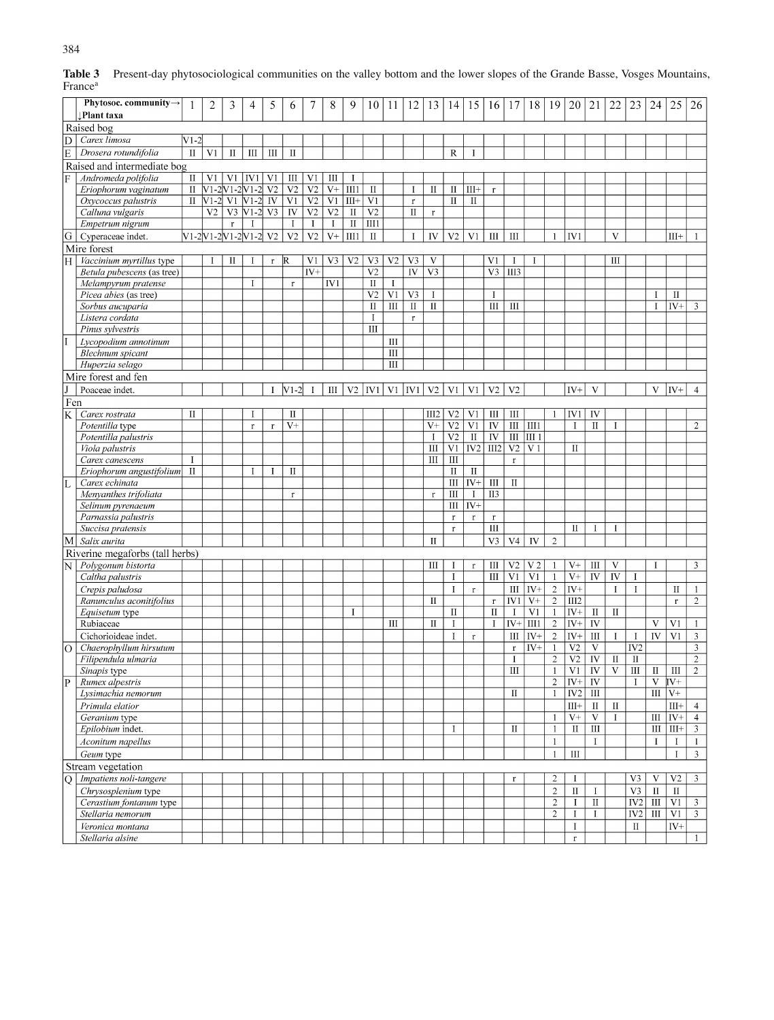|                     | Table 3 Present-day phytosociological communities on the valley bottom and the lower slopes of the Grande Basse, Vosges Mountains, |  |
|---------------------|------------------------------------------------------------------------------------------------------------------------------------|--|
| France <sup>a</sup> |                                                                                                                                    |  |

|                         | Phytosoc. community $\rightarrow$              | -1           | 2              | 3              | 4                | 5               | 6              | 7               | 8              | 9                        | 10                | -11            | 12 <sup>1</sup>         | 13                            | 14                                    | 15               | 16              | 17               | 18                    | 19                         | 20                      | 21                      | 22                      | 23                 | 24                      | 25               | 26                           |
|-------------------------|------------------------------------------------|--------------|----------------|----------------|------------------|-----------------|----------------|-----------------|----------------|--------------------------|-------------------|----------------|-------------------------|-------------------------------|---------------------------------------|------------------|-----------------|------------------|-----------------------|----------------------------|-------------------------|-------------------------|-------------------------|--------------------|-------------------------|------------------|------------------------------|
|                         | <b>∣Plant taxa</b>                             |              |                |                |                  |                 |                |                 |                |                          |                   |                |                         |                               |                                       |                  |                 |                  |                       |                            |                         |                         |                         |                    |                         |                  |                              |
|                         | Raised bog                                     |              |                |                |                  |                 |                |                 |                |                          |                   |                |                         |                               |                                       |                  |                 |                  |                       |                            |                         |                         |                         |                    |                         |                  |                              |
| D                       | Carex limosa                                   | $V1-2$       |                |                |                  |                 |                |                 |                |                          |                   |                |                         |                               |                                       |                  |                 |                  |                       |                            |                         |                         |                         |                    |                         |                  |                              |
| E.                      | Drosera rotundifolia                           | $\mathbf{I}$ | V <sub>1</sub> | $\mathbf{I}$   | Ш                | Ш               | $\mathbf{I}$   |                 |                |                          |                   |                |                         |                               | $\mathbb R$                           | I                |                 |                  |                       |                            |                         |                         |                         |                    |                         |                  |                              |
|                         | Raised and intermediate bog                    |              |                |                |                  |                 |                |                 |                |                          |                   |                |                         |                               |                                       |                  |                 |                  |                       |                            |                         |                         |                         |                    |                         |                  |                              |
| F                       | Andromeda polifolia                            | П            | V1             | V1             | IV1              | V <sub>1</sub>  | Ш              | V1              | Ш              |                          |                   |                |                         |                               |                                       |                  |                 |                  |                       |                            |                         |                         |                         |                    |                         |                  |                              |
|                         | Eriophorum vaginatum                           | $\mathbf{I}$ |                |                | V1-2V1-2V1-2     | $\overline{V2}$ | V <sub>2</sub> | V <sub>2</sub>  | $V +$          | III1                     | $\mathbf{I}$      |                | I                       | $_{\rm II}$                   | $_{\rm II}$                           | $III+$           | $\mathbf r$     |                  |                       |                            |                         |                         |                         |                    |                         |                  |                              |
|                         | Oxycoccus palustris                            | $\mathbf{I}$ | $V1-2$         | V <sub>1</sub> | $ V1-2 $         | $\overline{IV}$ | V <sub>1</sub> | V <sub>2</sub>  | V <sub>1</sub> | $\overline{\text{III}+}$ | V <sub>1</sub>    |                | $\mathbf r$             |                               | $_{\rm II}$                           | П                |                 |                  |                       |                            |                         |                         |                         |                    |                         |                  |                              |
|                         | Calluna vulgaris                               |              | V <sub>2</sub> |                | $V3$ $V1-2$      | V3              | IV             | $\overline{V2}$ | V <sub>2</sub> | $_{\rm II}$              | V <sub>2</sub>    |                | $\mathbf I$             | $\mathbf r$                   |                                       |                  |                 |                  |                       |                            |                         |                         |                         |                    |                         |                  |                              |
|                         | Empetrum nigrum                                |              |                | $\mathbf r$    | 1                |                 | I              | I               | $\bf{I}$       | $\mathbf{I}$             | III1              |                |                         |                               |                                       |                  |                 |                  |                       |                            |                         |                         |                         |                    |                         |                  |                              |
| G                       | Cyperaceae indet.                              |              |                |                | V1-2V1-2V1-2V1-2 | $\rm V2$        | V <sub>2</sub> | V <sub>2</sub>  | $V^+$          | III1                     | $\rm II$          |                | $\mathbf I$             | IV                            | V <sub>2</sub>                        | V <sub>1</sub>   | Ш               | Ш                |                       | $\mathbf{1}$               | IV1                     |                         | V                       |                    |                         | $III+$           | $\overline{1}$               |
|                         | Mire forest                                    |              |                |                |                  |                 |                |                 |                |                          |                   |                |                         |                               |                                       |                  |                 |                  |                       |                            |                         |                         |                         |                    |                         |                  |                              |
| H                       | Vaccinium myrtillus type                       |              | 1              | П              |                  | $\mathbf{r}$    | $\mathbb R$    | V1              | V3             | V <sub>2</sub>           | V3                | V2             | V3                      | V                             |                                       |                  | V1              | -1               | T                     |                            |                         |                         | Ш                       |                    |                         |                  |                              |
|                         | Betula pubescens (as tree)                     |              |                |                |                  |                 |                | $IV+$           |                |                          | V <sub>2</sub>    |                | IV                      | V <sub>3</sub>                |                                       |                  | V3              | <b>III3</b>      |                       |                            |                         |                         |                         |                    |                         |                  |                              |
|                         | Melampyrum pratense                            |              |                |                | I                |                 | $\mathbf r$    |                 | IV1            |                          | $\mathbf{I}$      | I              |                         |                               |                                       |                  |                 |                  |                       |                            |                         |                         |                         |                    |                         |                  |                              |
|                         | Picea abies (as tree)                          |              |                |                |                  |                 |                |                 |                |                          | V <sub>2</sub>    | V <sub>1</sub> | V <sub>3</sub>          | -1<br>$\overline{\mathbf{u}}$ |                                       |                  | Ι               |                  |                       |                            |                         |                         |                         |                    |                         | П<br>$IV+$       |                              |
|                         | Sorbus aucuparia<br>Listera cordata            |              |                |                |                  |                 |                |                 |                |                          | $\mathbf{I}$<br>I | III            | $\rm II$<br>$\mathbf r$ |                               |                                       |                  | Ш               | Ш                |                       |                            |                         |                         |                         |                    |                         |                  | 3                            |
|                         | Pinus sylvestris                               |              |                |                |                  |                 |                |                 |                |                          | $\mathbf{H}$      |                |                         |                               |                                       |                  |                 |                  |                       |                            |                         |                         |                         |                    |                         |                  |                              |
| I                       | Lycopodium annotinum                           |              |                |                |                  |                 |                |                 |                |                          |                   | Ш              |                         |                               |                                       |                  |                 |                  |                       |                            |                         |                         |                         |                    |                         |                  |                              |
|                         | Blechnum spicant                               |              |                |                |                  |                 |                |                 |                |                          |                   | Ш              |                         |                               |                                       |                  |                 |                  |                       |                            |                         |                         |                         |                    |                         |                  |                              |
|                         | Huperzia selago                                |              |                |                |                  |                 |                |                 |                |                          |                   | Ш              |                         |                               |                                       |                  |                 |                  |                       |                            |                         |                         |                         |                    |                         |                  |                              |
|                         | Mire forest and fen                            |              |                |                |                  |                 |                |                 |                |                          |                   |                |                         |                               |                                       |                  |                 |                  |                       |                            |                         |                         |                         |                    |                         |                  |                              |
|                         | Poaceae indet.                                 |              |                |                |                  | I               | $V1-2$         |                 | Ш              |                          | $V2$ $ V1$        | V1             | IV1                     | V <sub>2</sub>                | V1                                    | V <sub>1</sub>   | V <sub>2</sub>  | V <sub>2</sub>   |                       |                            | $IV+$                   | V                       |                         |                    | V                       | $IV+$            | $\overline{4}$               |
| Fen                     |                                                |              |                |                |                  |                 |                |                 |                |                          |                   |                |                         |                               |                                       |                  |                 |                  |                       |                            |                         |                         |                         |                    |                         |                  |                              |
| K                       | Carex rostrata                                 | П            |                |                |                  |                 | П              |                 |                |                          |                   |                |                         | III2                          | V2                                    | V1               | Ш               | Ш                |                       | 1                          | IV1                     | IV                      |                         |                    |                         |                  |                              |
|                         | Potentilla type                                |              |                |                | $\mathbf r$      | $\mathbf r$     | $V+$           |                 |                |                          |                   |                |                         | $V+$                          | V <sub>2</sub>                        | V <sub>1</sub>   | IV              | $\mathbf{III}$   | III1                  |                            | I                       | $_{\rm II}$             | I                       |                    |                         |                  | $\overline{2}$               |
|                         | Potentilla palustris                           |              |                |                |                  |                 |                |                 |                |                          |                   |                |                         | $\mathbf I$                   | $\overline{V2}$                       | $\mathbf{I}$     | IV              | Ш                | III <sub>1</sub>      |                            |                         |                         |                         |                    |                         |                  |                              |
|                         | Viola palustris                                |              |                |                |                  |                 |                |                 |                |                          |                   |                |                         | Ш                             | V1                                    |                  | $IV2$ $III2$    | $\overline{V2}$  | V <sub>1</sub>        |                            | $_{\rm II}$             |                         |                         |                    |                         |                  |                              |
|                         | Carex canescens                                |              |                |                |                  |                 |                |                 |                |                          |                   |                |                         | $\rm III$                     | $\mathop{\rm III}$                    |                  |                 | $\mathbf r$      |                       |                            |                         |                         |                         |                    |                         |                  |                              |
|                         | Eriophorum angustifolium                       | $\mathbf{I}$ |                |                |                  | I               | $\mathbf{I}$   |                 |                |                          |                   |                |                         |                               | $\mathbf{I}$                          | П                |                 |                  |                       |                            |                         |                         |                         |                    |                         |                  |                              |
| $\overline{\mathbb{L}}$ | Carex echinata<br>Menyanthes trifoliata        |              |                |                |                  |                 | $\mathbf r$    |                 |                |                          |                   |                |                         | $\mathbf r$                   | $\mathop{\mathrm{III}}\nolimits$<br>Ш | $IV+$<br>$\bf I$ | Ш<br><b>II3</b> | $\mathbf{I}$     |                       |                            |                         |                         |                         |                    |                         |                  |                              |
|                         | Selinum pyrenaeum                              |              |                |                |                  |                 |                |                 |                |                          |                   |                |                         |                               | Ш                                     | $IV+$            |                 |                  |                       |                            |                         |                         |                         |                    |                         |                  |                              |
|                         | Parnassia palustris                            |              |                |                |                  |                 |                |                 |                |                          |                   |                |                         |                               | $\mathbf r$                           | $\mathbf r$      | $\mathbf r$     |                  |                       |                            |                         |                         |                         |                    |                         |                  |                              |
|                         | Succisa pratensis                              |              |                |                |                  |                 |                |                 |                |                          |                   |                |                         |                               | $\mathbf r$                           |                  | Ш               |                  |                       |                            | П                       | П                       | Л                       |                    |                         |                  |                              |
| M                       | Salix aurita                                   |              |                |                |                  |                 |                |                 |                |                          |                   |                |                         | $\mathbf{I}$                  |                                       |                  | V <sub>3</sub>  | V <sub>4</sub>   | IV                    | $\overline{c}$             |                         |                         |                         |                    |                         |                  |                              |
|                         | Riverine megaforbs (tall herbs)                |              |                |                |                  |                 |                |                 |                |                          |                   |                |                         |                               |                                       |                  |                 |                  |                       |                            |                         |                         |                         |                    |                         |                  |                              |
| N                       | Polygonum bistorta                             |              |                |                |                  |                 |                |                 |                |                          |                   |                |                         | Ш                             | I                                     | $\mathbf r$      | Ш               | V <sub>2</sub>   | V <sub>2</sub>        | 1                          | V+                      | Ш                       | V                       |                    |                         |                  | 3                            |
|                         | Caltha palustris                               |              |                |                |                  |                 |                |                 |                |                          |                   |                |                         |                               | $\rm I$                               |                  | Ш               | V <sub>1</sub>   | V1                    | $\mathbf{1}$               | $V_{+}$                 | IV                      | IV                      | $\bf{I}$           |                         |                  |                              |
|                         | Crepis paludosa                                |              |                |                |                  |                 |                |                 |                |                          |                   |                |                         |                               | Ι                                     | $\mathbf r$      |                 | Ш                | $IV+$                 | $\overline{c}$             | $IV+$                   |                         | I                       | $\bf{I}$           |                         | П                | $\mathbf{1}$                 |
|                         | Ranunculus aconitifolius                       |              |                |                |                  |                 |                |                 |                |                          |                   |                |                         | П                             |                                       |                  | $\mathbf r$     | IV1              | $\mathbf{V}+$         | $\overline{c}$             | III2                    |                         |                         |                    |                         | $\mathbf r$      | $\overline{c}$               |
|                         | Equisetum type                                 |              |                |                |                  |                 |                |                 |                | I                        |                   |                |                         |                               | $\mathbf{I}$                          |                  | $\mathbf{I}$    | I                | V <sub>1</sub>        | $\mathbf{1}$               | $IV+$                   | П                       | $\rm{II}$               |                    |                         |                  |                              |
|                         | Rubiaceae                                      |              |                |                |                  |                 |                |                 |                |                          |                   | Ш              |                         | П                             | $\mathbf I$                           |                  | I               | $\overline{IV}$  | III1                  | $\sqrt{2}$                 | $IV+$                   | IV                      |                         |                    | V                       | V1               |                              |
| $\overline{O}$          | Cichorioideae indet.<br>Chaerophyllum hirsutum |              |                |                |                  |                 |                |                 |                |                          |                   |                |                         |                               | I                                     | $\mathbf r$      |                 | III              | ${\rm IV^+}$<br>$IV+$ | $\sqrt{2}$<br>$\mathbf{1}$ | $IV+$<br>V <sub>2</sub> | Ш<br>V                  | $\bf{I}$                | $\mathbf I$<br>IV2 | IV                      | V <sub>1</sub>   | $\overline{\mathbf{3}}$<br>3 |
|                         | Filipendula ulmaria                            |              |                |                |                  |                 |                |                 |                |                          |                   |                |                         |                               |                                       |                  |                 | $\mathbf r$<br>Ι |                       | $\mathbf{2}$               | V <sub>2</sub>          | ${\rm IV}$              | П                       | П                  |                         |                  | $\sqrt{2}$                   |
|                         | Sinapis type                                   |              |                |                |                  |                 |                |                 |                |                          |                   |                |                         |                               |                                       |                  |                 | $\rm III$        |                       |                            | V1                      | $\overline{\mathbf{N}}$ | $\overline{\mathbf{v}}$ | $\overline{III}$   | $\rm II$                | $\mathbf{III}$   | $\overline{c}$               |
| $\overline{\texttt{P}}$ | Rumex alpestris                                |              |                |                |                  |                 |                |                 |                |                          |                   |                |                         |                               |                                       |                  |                 |                  |                       | $\sqrt{2}$                 | $IV+$                   | $\overline{\mathbf{N}}$ |                         | $\mathbf I$        | V                       | $\overline{IV+}$ |                              |
|                         | Lysimachia nemorum                             |              |                |                |                  |                 |                |                 |                |                          |                   |                |                         |                               |                                       |                  |                 | $\mathbf{I}$     |                       | $\mathbf{1}$               | IV2                     | Ш                       |                         |                    | Ш                       | $V +$            |                              |
|                         | Primula elatior                                |              |                |                |                  |                 |                |                 |                |                          |                   |                |                         |                               |                                       |                  |                 |                  |                       |                            | $III+$                  | $\;$ II                 | П                       |                    |                         | $III+$           | $\overline{4}$               |
|                         | Geranium type                                  |              |                |                |                  |                 |                |                 |                |                          |                   |                |                         |                               |                                       |                  |                 |                  |                       | $\mathbf{1}$               | $V^+$                   | $\overline{\mathbf{v}}$ | $\mathbf I$             |                    |                         | $III$ $IV+$      | $\overline{4}$               |
|                         | Epilobium indet.                               |              |                |                |                  |                 |                |                 |                |                          |                   |                |                         |                               | I                                     |                  |                 | $\mathbf{I}$     |                       | $\mathbf{1}$               | $\mathbf{I}$            | $\rm III$               |                         |                    | $\overline{\mathbf{m}}$ | $\rm III^+$      | $\overline{\mathbf{3}}$      |
|                         | Aconitum napellus                              |              |                |                |                  |                 |                |                 |                |                          |                   |                |                         |                               |                                       |                  |                 |                  |                       | 1                          |                         | $\bf I$                 |                         |                    | $\bf I$                 | $\mathbf I$      | $\mathbf{1}$                 |
|                         | Geum type                                      |              |                |                |                  |                 |                |                 |                |                          |                   |                |                         |                               |                                       |                  |                 |                  |                       | $\mathbf{1}$               | $\rm III$               |                         |                         |                    |                         | $\mathbf I$      | $\mathfrak{Z}$               |
|                         | Stream vegetation                              |              |                |                |                  |                 |                |                 |                |                          |                   |                |                         |                               |                                       |                  |                 |                  |                       |                            |                         |                         |                         |                    |                         |                  |                              |
| $\overline{Q}$          | Impatiens noli-tangere                         |              |                |                |                  |                 |                |                 |                |                          |                   |                |                         |                               |                                       |                  |                 | $\mathbf r$      |                       | 2                          | 1                       |                         |                         | V3                 | V                       | V <sub>2</sub>   | 3                            |
|                         | Chrysosplenium type                            |              |                |                |                  |                 |                |                 |                |                          |                   |                |                         |                               |                                       |                  |                 |                  |                       | $\sqrt{2}$                 | П                       | I                       |                         | V <sub>3</sub>     | $\rm II$                | $\rm _{II}$      |                              |
|                         | Cerastium fontanum type                        |              |                |                |                  |                 |                |                 |                |                          |                   |                |                         |                               |                                       |                  |                 |                  |                       | $\overline{c}$             | I                       | $\mathbf{I}$            |                         | $IV2$ III          | $\overline{\rm III}$    | V1<br>V1         | $\mathbf{3}$                 |
|                         | Stellaria nemorum                              |              |                |                |                  |                 |                |                 |                |                          |                   |                |                         |                               |                                       |                  |                 |                  |                       | $\overline{2}$             | $\bf{I}$<br>$\rm I$     | $\mathbf I$             |                         | IV2                |                         | $IV+$            | $\mathbf{3}$                 |
|                         | Veronica montana<br>Stellaria alsine           |              |                |                |                  |                 |                |                 |                |                          |                   |                |                         |                               |                                       |                  |                 |                  |                       |                            | $\mathbf r$             |                         |                         | $\rm II$           |                         |                  |                              |
|                         |                                                |              |                |                |                  |                 |                |                 |                |                          |                   |                |                         |                               |                                       |                  |                 |                  |                       |                            |                         |                         |                         |                    |                         |                  |                              |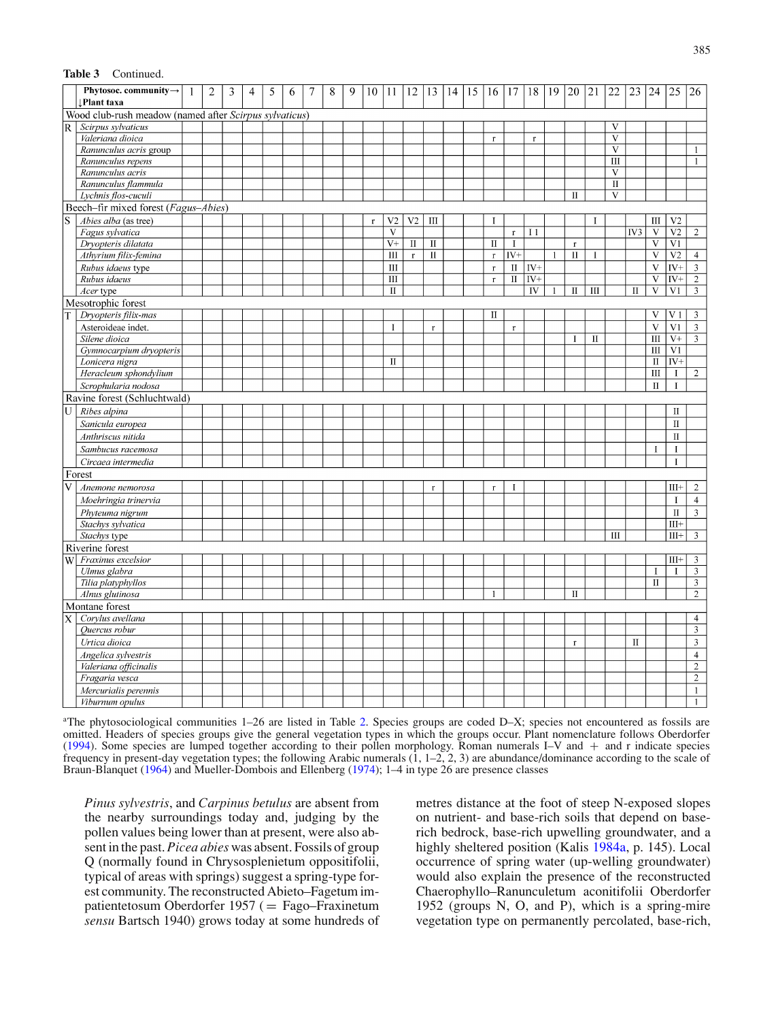|                           | Phytosoc. community $\rightarrow$                      | $\mathbf{1}$ | $\overline{2}$ | 3 | $\overline{4}$ | 5 | 6 | 7 | 8 | $\mathbf{Q}$ | 10           | 11              | 12             | 13           | 14 | 15 | 16           | 17           | 18             | 19           | 20           | 21           | $\overline{22}$         | 23       | 24                      | 25              | 26                      |
|---------------------------|--------------------------------------------------------|--------------|----------------|---|----------------|---|---|---|---|--------------|--------------|-----------------|----------------|--------------|----|----|--------------|--------------|----------------|--------------|--------------|--------------|-------------------------|----------|-------------------------|-----------------|-------------------------|
|                           | Plant taxa                                             |              |                |   |                |   |   |   |   |              |              |                 |                |              |    |    |              |              |                |              |              |              |                         |          |                         |                 |                         |
|                           | Wood club-rush meadow (named after Scirpus sylvaticus) |              |                |   |                |   |   |   |   |              |              |                 |                |              |    |    |              |              |                |              |              |              |                         |          |                         |                 |                         |
| R.                        | Scirpus sylvaticus                                     |              |                |   |                |   |   |   |   |              |              |                 |                |              |    |    |              |              |                |              |              |              | v                       |          |                         |                 |                         |
|                           | Valeriana dioica                                       |              |                |   |                |   |   |   |   |              |              |                 |                |              |    |    | $\mathbf r$  |              | $\mathbf r$    |              |              |              | V                       |          |                         |                 |                         |
|                           | Ranunculus acris group                                 |              |                |   |                |   |   |   |   |              |              |                 |                |              |    |    |              |              |                |              |              |              | $\overline{\mathbf{v}}$ |          |                         |                 |                         |
|                           | Ranunculus repens                                      |              |                |   |                |   |   |   |   |              |              |                 |                |              |    |    |              |              |                |              |              |              | III                     |          |                         |                 | $\mathbf{1}$            |
|                           | Ranunculus acris                                       |              |                |   |                |   |   |   |   |              |              |                 |                |              |    |    |              |              |                |              |              |              | $\overline{\mathbf{v}}$ |          |                         |                 |                         |
|                           | Ranunculus flammula                                    |              |                |   |                |   |   |   |   |              |              |                 |                |              |    |    |              |              |                |              |              |              | $\overline{\mathbf{u}}$ |          |                         |                 |                         |
|                           | Lychnis flos-cuculi                                    |              |                |   |                |   |   |   |   |              |              |                 |                |              |    |    |              |              |                |              | П            |              | $\overline{\mathsf{v}}$ |          |                         |                 |                         |
|                           | Beech-fir mixed forest (Fagus-Abies)                   |              |                |   |                |   |   |   |   |              |              |                 |                |              |    |    |              |              |                |              |              |              |                         |          |                         |                 |                         |
| S                         | Abies alba (as tree)                                   |              |                |   |                |   |   |   |   |              | $\mathbf{r}$ | V <sub>2</sub>  | V <sub>2</sub> | III          |    |    | I            |              |                |              |              |              |                         |          | III                     | V <sub>2</sub>  |                         |
|                           | Fagus sylvatica                                        |              |                |   |                |   |   |   |   |              |              | V               |                |              |    |    |              | $\bf r$      | I <sub>1</sub> |              |              |              |                         | IV3      | $\overline{\mathbf{V}}$ | V <sub>2</sub>  | $\overline{2}$          |
|                           | Dryopteris dilatata                                    |              |                |   |                |   |   |   |   |              |              | $\overline{V+}$ | $\mathbf{I}$   | $\mathbf{I}$ |    |    | $\rm II$     | $\bf{I}$     |                |              | $\mathbf r$  |              |                         |          | $\overline{\mathbf{V}}$ | $\overline{VI}$ |                         |
|                           | Athyrium filix-femina                                  |              |                |   |                |   |   |   |   |              |              | Ш               | $\bf r$        | $\mathbf{I}$ |    |    | $\mathbf r$  | $IV+$        |                | $\mathbf{1}$ | $\mathbf{I}$ | $\bf{l}$     |                         |          | V                       | V <sub>2</sub>  | $\overline{4}$          |
|                           | Rubus idaeus type                                      |              |                |   |                |   |   |   |   |              |              | $\mathbf{H}$    |                |              |    |    | $\mathbf r$  | $\mathbf{I}$ | $IV+$          |              |              |              |                         |          | $\mathbf{V}$            | $IV+$           |                         |
|                           | Rubus idaeus                                           |              |                |   |                |   |   |   |   |              |              | $\mathbf{III}$  |                |              |    |    | $\mathbf r$  | $\rm II$     | $IV+$          |              |              |              |                         |          | V                       | $IV+$           | $\overline{2}$          |
|                           | Acer type                                              |              |                |   |                |   |   |   |   |              |              | $\rm II$        |                |              |    |    |              |              | ${\rm IV}$     |              | П            | Ш            |                         | $\rm II$ | $\overline{\mathbf{V}}$ | $\overline{v}$  | $\overline{\mathbf{3}}$ |
|                           | Mesotrophic forest                                     |              |                |   |                |   |   |   |   |              |              |                 |                |              |    |    |              |              |                |              |              |              |                         |          |                         |                 |                         |
| T                         | Dryopteris filix-mas                                   |              |                |   |                |   |   |   |   |              |              |                 |                |              |    |    | П            |              |                |              |              |              |                         |          | V                       | V 1             | 3                       |
|                           | Asteroideae indet.                                     |              |                |   |                |   |   |   |   |              |              | I               |                | $\mathbf r$  |    |    |              | $\mathbf r$  |                |              |              |              |                         |          | $\bar{V}$               | V <sub>1</sub>  | $\overline{3}$          |
|                           | Silene dioica                                          |              |                |   |                |   |   |   |   |              |              |                 |                |              |    |    |              |              |                |              | $\mathbf I$  | $\mathbf{I}$ |                         |          | Ш                       | $V^+$           | $\overline{3}$          |
|                           | Gymnocarpium dryopteris                                |              |                |   |                |   |   |   |   |              |              |                 |                |              |    |    |              |              |                |              |              |              |                         |          | $\overline{III}$        | $\overline{V1}$ |                         |
|                           | Lonicera nigra                                         |              |                |   |                |   |   |   |   |              |              | $\mathbf{I}$    |                |              |    |    |              |              |                |              |              |              |                         |          | $\rm II$                | $\overline{IV}$ |                         |
|                           | Heracleum sphondylium                                  |              |                |   |                |   |   |   |   |              |              |                 |                |              |    |    |              |              |                |              |              |              |                         |          | Ш                       | $\mathbf I$     | $\overline{2}$          |
|                           | Scrophularia nodosa                                    |              |                |   |                |   |   |   |   |              |              |                 |                |              |    |    |              |              |                |              |              |              |                         |          | $\rm II$                | $\mathbf{I}$    |                         |
|                           | Ravine forest (Schluchtwald)                           |              |                |   |                |   |   |   |   |              |              |                 |                |              |    |    |              |              |                |              |              |              |                         |          |                         |                 |                         |
| lU                        | Ribes alpina                                           |              |                |   |                |   |   |   |   |              |              |                 |                |              |    |    |              |              |                |              |              |              |                         |          |                         | П               |                         |
|                           | Sanicula europea                                       |              |                |   |                |   |   |   |   |              |              |                 |                |              |    |    |              |              |                |              |              |              |                         |          |                         | $\rm II$        |                         |
|                           | Anthriscus nitida                                      |              |                |   |                |   |   |   |   |              |              |                 |                |              |    |    |              |              |                |              |              |              |                         |          |                         | $\Pi$           |                         |
|                           | Sambucus racemosa                                      |              |                |   |                |   |   |   |   |              |              |                 |                |              |    |    |              |              |                |              |              |              |                         |          | $\mathbf I$             | $\mathbf{I}$    |                         |
|                           | Circaea intermedia                                     |              |                |   |                |   |   |   |   |              |              |                 |                |              |    |    |              |              |                |              |              |              |                         |          |                         | $\mathbf{I}$    |                         |
|                           | Forest                                                 |              |                |   |                |   |   |   |   |              |              |                 |                |              |    |    |              |              |                |              |              |              |                         |          |                         |                 |                         |
| V                         | Anemone nemorosa                                       |              |                |   |                |   |   |   |   |              |              |                 |                | $\mathbf{r}$ |    |    | $\mathbf{r}$ | I            |                |              |              |              |                         |          |                         | $III+$          | $\overline{2}$          |
|                           | Moehringia trinervia                                   |              |                |   |                |   |   |   |   |              |              |                 |                |              |    |    |              |              |                |              |              |              |                         |          |                         | $\mathbf{I}$    | $\overline{4}$          |
|                           | Phyteuma nigrum                                        |              |                |   |                |   |   |   |   |              |              |                 |                |              |    |    |              |              |                |              |              |              |                         |          |                         | $\rm II$        | $\overline{3}$          |
|                           | Stachys sylvatica                                      |              |                |   |                |   |   |   |   |              |              |                 |                |              |    |    |              |              |                |              |              |              |                         |          |                         | $III+$          |                         |
|                           | Stachys type                                           |              |                |   |                |   |   |   |   |              |              |                 |                |              |    |    |              |              |                |              |              |              | Ш                       |          |                         | $III+$          | $\overline{\mathbf{3}}$ |
|                           | Riverine forest                                        |              |                |   |                |   |   |   |   |              |              |                 |                |              |    |    |              |              |                |              |              |              |                         |          |                         |                 |                         |
| W                         | Fraxinus excelsior                                     |              |                |   |                |   |   |   |   |              |              |                 |                |              |    |    |              |              |                |              |              |              |                         |          |                         | $III+$          | 3                       |
|                           | Ulmus glabra                                           |              |                |   |                |   |   |   |   |              |              |                 |                |              |    |    |              |              |                |              |              |              |                         |          | 1                       | I               | $\overline{\mathbf{3}}$ |
|                           | Tilia platyphyllos                                     |              |                |   |                |   |   |   |   |              |              |                 |                |              |    |    |              |              |                |              |              |              |                         |          | $\rm II$                |                 | 3                       |
|                           | Alnus glutinosa                                        |              |                |   |                |   |   |   |   |              |              |                 |                |              |    |    |              |              |                |              | $\Pi$        |              |                         |          |                         |                 | $\overline{2}$          |
|                           | Montane forest                                         |              |                |   |                |   |   |   |   |              |              |                 |                |              |    |    |              |              |                |              |              |              |                         |          |                         |                 |                         |
| $\boldsymbol{\mathrm{X}}$ | Corvlus avellana                                       |              |                |   |                |   |   |   |   |              |              |                 |                |              |    |    |              |              |                |              |              |              |                         |          |                         |                 | $\overline{4}$          |
|                           | Quercus robur                                          |              |                |   |                |   |   |   |   |              |              |                 |                |              |    |    |              |              |                |              |              |              |                         |          |                         |                 | $\overline{\mathbf{3}}$ |
|                           | Urtica dioica                                          |              |                |   |                |   |   |   |   |              |              |                 |                |              |    |    |              |              |                |              | $\mathbf{r}$ |              |                         | $\Pi$    |                         |                 | $\overline{3}$          |
|                           | Angelica sylvestris                                    |              |                |   |                |   |   |   |   |              |              |                 |                |              |    |    |              |              |                |              |              |              |                         |          |                         |                 | $\overline{4}$          |
|                           | Valeriana officinalis                                  |              |                |   |                |   |   |   |   |              |              |                 |                |              |    |    |              |              |                |              |              |              |                         |          |                         |                 | $\overline{c}$          |
|                           | Fragaria vesca                                         |              |                |   |                |   |   |   |   |              |              |                 |                |              |    |    |              |              |                |              |              |              |                         |          |                         |                 | $\overline{2}$          |
|                           | Mercurialis perennis                                   |              |                |   |                |   |   |   |   |              |              |                 |                |              |    |    |              |              |                |              |              |              |                         |          |                         |                 | $\mathbf{1}$            |
|                           | Viburnum opulus                                        |              |                |   |                |   |   |   |   |              |              |                 |                |              |    |    |              |              |                |              |              |              |                         |          |                         |                 | $\mathbf{1}$            |

a The phytosociological communities 1–26 are listed in Table 2. Species groups are coded D–X; species not encountered as fossils are omitted. Headers of species groups give the general vegetation types in which the groups occur. Plant nomenclature follows Oberdorfer (1994). Some species are lumped together according to their pollen morphology. Roman numerals I–V and + and r indicate species frequency in present-day vegetation types; the following Arabic numerals (1, 1–2, 2, 3) are abundance/dominance according to the scale of Braun-Blanquet (1964) and Mueller-Dombois and Ellenberg (1974); 1–4 in type 26 are presence classes

*Pinus sylvestris*, and *Carpinus betulus* are absent from the nearby surroundings today and, judging by the pollen values being lower than at present, were also absent in the past. *Picea abies* was absent. Fossils of group Q (normally found in Chrysosplenietum oppositifolii, typical of areas with springs) suggest a spring-type forest community. The reconstructed Abieto–Fagetum impatientetosum Oberdorfer 1957 ( = Fago–Fraxinetum *sensu* Bartsch 1940) grows today at some hundreds of metres distance at the foot of steep N-exposed slopes on nutrient- and base-rich soils that depend on baserich bedrock, base-rich upwelling groundwater, and a highly sheltered position (Kalis 1984a, p. 145). Local occurrence of spring water (up-welling groundwater) would also explain the presence of the reconstructed Chaerophyllo–Ranunculetum aconitifolii Oberdorfer 1952 (groups N, O, and P), which is a spring-mire vegetation type on permanently percolated, base-rich,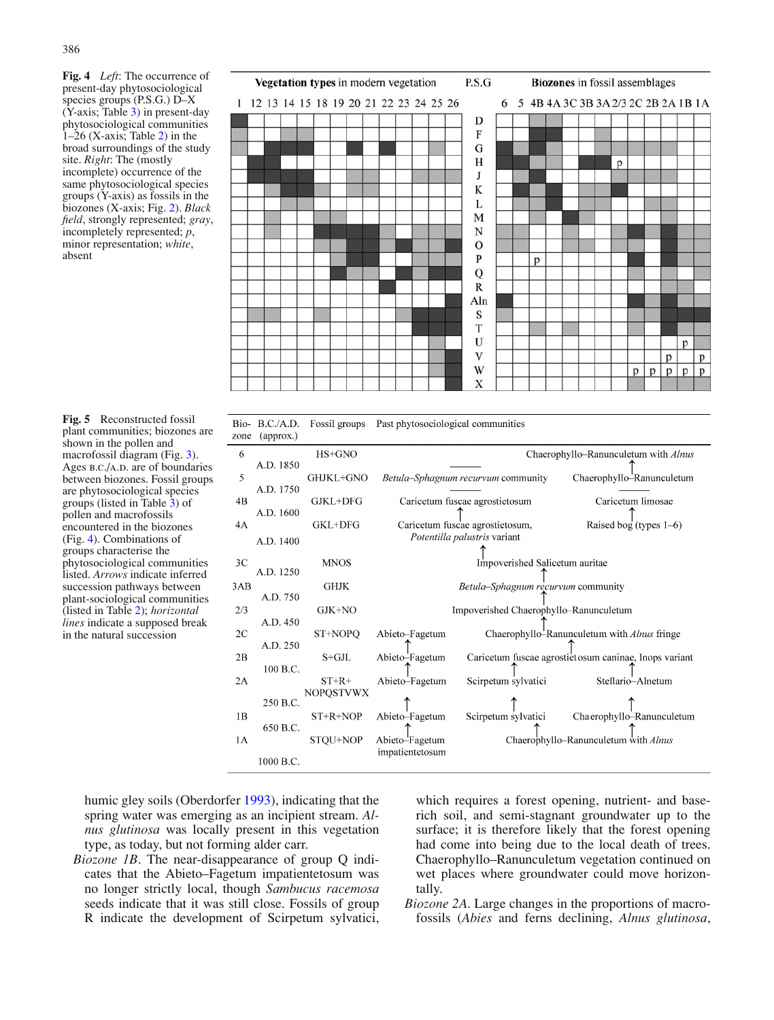**Fig. 4** *Left*: The occurrence of present-day phytosociological species groups (P.S.G.) D–X  $(Y-axis; Table 3)$  in present-day phytosociological communities  $1-26$  (X-axis; Table 2) in the broad surroundings of the study site. *Right*: The (mostly incomplete) occurrence of the same phytosociological species groups (Y-axis) as fossils in the biozones (X-axis; Fig. 2). *Black field*, strongly represented; *gray*, incompletely represented; *p*, minor representation; *white*, absent



**Fig. 5** Reconstructed fossil plant communities; biozones are shown in the pollen and macrofossil diagram (Fig. 3). Ages B.C./A.D. are of boundaries between biozones. Fossil groups are phytosociological species groups (listed in Table 3) of pollen and macrofossils encountered in the biozones (Fig. 4). Combinations of groups characterise the phytosociological communities listed. *Arrows* indicate inferred succession pathways between plant-sociological communities (listed in Table 2); *horizontal lines* indicate a supposed break in the natural succession

Bio- B.C./A.D. Fossil groups Past phytosociological communities

| zone           | (approx.)              |                  |                 |                                        |                                                       |
|----------------|------------------------|------------------|-----------------|----------------------------------------|-------------------------------------------------------|
| 6              |                        | HS+GNO           |                 |                                        | Chaerophyllo-Ranunculetum with Alnus                  |
| 5              | A.D. 1850<br>A.D. 1750 | GHJKL+GNO        |                 | Betula-Sphagnum recurvum community     | Chaerophyllo-Ranunculetum                             |
| 4B             | A.D. 1600              | GJKL+DFG         |                 | Caricetum fuscae agrostietosum         | Caricetum limosae                                     |
| 4A             |                        | GKL+DFG          |                 | Caricetum fuscae agrostietosum,        | Raised bog (types $1-6$ )                             |
|                | A.D. 1400              |                  |                 | Potentilla palustris variant           |                                                       |
| 3 <sub>C</sub> | A.D. 1250              | <b>MNOS</b>      |                 | Impoverished Salicetum auritae         |                                                       |
| 3AB            | A.D. 750               | <b>GHJK</b>      |                 | Betula-Sphagnum recurvum community     |                                                       |
| 2/3            | A.D. 450               | GJK+NO           |                 | Impoverished Chaerophyllo-Ranunculetum |                                                       |
| 2 <sub>C</sub> | A.D. 250               | ST+NOPQ          | Abieto-Fagetum  |                                        | Chaerophyllo-Ranunculetum with <i>Alnus</i> fringe    |
| 2B             |                        | $S + GJL$        | Abieto-Fagetum  |                                        | Caricetum fuscae agrostietosum caninae, Inops variant |
| 2A             | 100 B.C.               | $ST+R+$          | Abieto-Fagetum  | Scirpetum sylvatici                    | Stellario-Alnetum                                     |
|                | 250 B.C.               | <b>NOPQSTVWX</b> |                 |                                        |                                                       |
| 1B             | 650 B.C.               | ST+R+NOP         | Abieto-Fagetum  | Scirpetum sylvatici                    | Chaerophyllo-Ranunculetum                             |
| 1A             |                        | STQU+NOP         | Abieto-Fagetum  |                                        | Chaerophyllo-Ranunculetum with Alnus                  |
|                | 1000 B.C.              |                  | impatientetosum |                                        |                                                       |

humic gley soils (Oberdorfer 1993), indicating that the spring water was emerging as an incipient stream. *Alnus glutinosa* was locally present in this vegetation type, as today, but not forming alder carr.

*Biozone 1B*. The near-disappearance of group Q indicates that the Abieto–Fagetum impatientetosum was no longer strictly local, though *Sambucus racemosa* seeds indicate that it was still close. Fossils of group R indicate the development of Scirpetum sylvatici, which requires a forest opening, nutrient- and baserich soil, and semi-stagnant groundwater up to the surface; it is therefore likely that the forest opening had come into being due to the local death of trees. Chaerophyllo–Ranunculetum vegetation continued on wet places where groundwater could move horizontally.

*Biozone 2A*. Large changes in the proportions of macrofossils (*Abies* and ferns declining, *Alnus glutinosa*,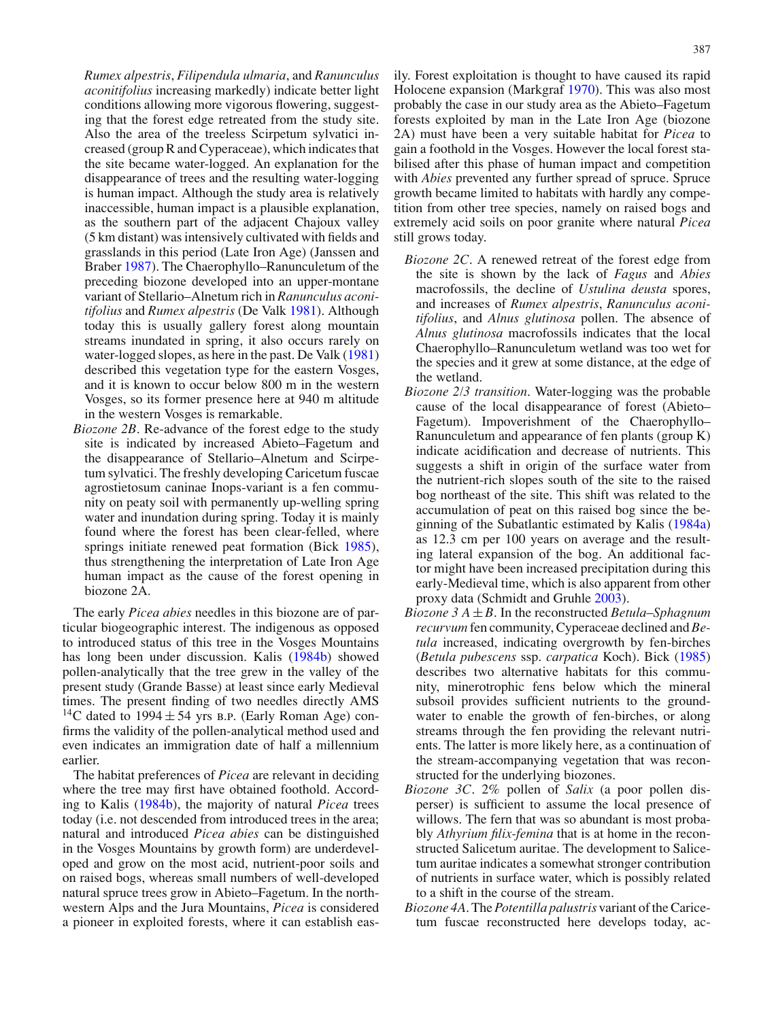*Rumex alpestris*, *Filipendula ulmaria*, and *Ranunculus aconitifolius* increasing markedly) indicate better light conditions allowing more vigorous flowering, suggesting that the forest edge retreated from the study site. Also the area of the treeless Scirpetum sylvatici increased (group R and Cyperaceae), which indicates that the site became water-logged. An explanation for the disappearance of trees and the resulting water-logging is human impact. Although the study area is relatively inaccessible, human impact is a plausible explanation, as the southern part of the adjacent Chajoux valley (5 km distant) was intensively cultivated with fields and grasslands in this period (Late Iron Age) (Janssen and Braber 1987). The Chaerophyllo–Ranunculetum of the preceding biozone developed into an upper-montane variant of Stellario–Alnetum rich in *Ranunculus aconitifolius* and *Rumex alpestris* (De Valk 1981). Although today this is usually gallery forest along mountain streams inundated in spring, it also occurs rarely on water-logged slopes, as here in the past. De Valk (1981) described this vegetation type for the eastern Vosges, and it is known to occur below 800 m in the western Vosges, so its former presence here at 940 m altitude in the western Vosges is remarkable.

*Biozone 2B*. Re-advance of the forest edge to the study site is indicated by increased Abieto–Fagetum and the disappearance of Stellario–Alnetum and Scirpetum sylvatici. The freshly developing Caricetum fuscae agrostietosum caninae Inops-variant is a fen community on peaty soil with permanently up-welling spring water and inundation during spring. Today it is mainly found where the forest has been clear-felled, where springs initiate renewed peat formation (Bick 1985), thus strengthening the interpretation of Late Iron Age human impact as the cause of the forest opening in biozone 2A.

The early *Picea abies* needles in this biozone are of particular biogeographic interest. The indigenous as opposed to introduced status of this tree in the Vosges Mountains has long been under discussion. Kalis (1984b) showed pollen-analytically that the tree grew in the valley of the present study (Grande Basse) at least since early Medieval times. The present finding of two needles directly AMS <sup>14</sup>C dated to 1994  $\pm$  54 yrs B.P. (Early Roman Age) confirms the validity of the pollen-analytical method used and even indicates an immigration date of half a millennium earlier.

The habitat preferences of *Picea* are relevant in deciding where the tree may first have obtained foothold. According to Kalis (1984b), the majority of natural *Picea* trees today (i.e. not descended from introduced trees in the area; natural and introduced *Picea abies* can be distinguished in the Vosges Mountains by growth form) are underdeveloped and grow on the most acid, nutrient-poor soils and on raised bogs, whereas small numbers of well-developed natural spruce trees grow in Abieto–Fagetum. In the northwestern Alps and the Jura Mountains, *Picea* is considered a pioneer in exploited forests, where it can establish easily. Forest exploitation is thought to have caused its rapid Holocene expansion (Markgraf 1970). This was also most probably the case in our study area as the Abieto–Fagetum forests exploited by man in the Late Iron Age (biozone 2A) must have been a very suitable habitat for *Picea* to gain a foothold in the Vosges. However the local forest stabilised after this phase of human impact and competition with *Abies* prevented any further spread of spruce. Spruce growth became limited to habitats with hardly any competition from other tree species, namely on raised bogs and extremely acid soils on poor granite where natural *Picea* still grows today.

- *Biozone 2C*. A renewed retreat of the forest edge from the site is shown by the lack of *Fagus* and *Abies* macrofossils, the decline of *Ustulina deusta* spores, and increases of *Rumex alpestris*, *Ranunculus aconitifolius*, and *Alnus glutinosa* pollen. The absence of *Alnus glutinosa* macrofossils indicates that the local Chaerophyllo–Ranunculetum wetland was too wet for the species and it grew at some distance, at the edge of the wetland.
- *Biozone 2/3 transition*. Water-logging was the probable cause of the local disappearance of forest (Abieto– Fagetum). Impoverishment of the Chaerophyllo– Ranunculetum and appearance of fen plants (group K) indicate acidification and decrease of nutrients. This suggests a shift in origin of the surface water from the nutrient-rich slopes south of the site to the raised bog northeast of the site. This shift was related to the accumulation of peat on this raised bog since the beginning of the Subatlantic estimated by Kalis (1984a) as 12.3 cm per 100 years on average and the resulting lateral expansion of the bog. An additional factor might have been increased precipitation during this early-Medieval time, which is also apparent from other proxy data (Schmidt and Gruhle 2003).
- *Biozone*  $3A \pm B$ . In the reconstructed *Betula–Sphagnum recurvum* fen community, Cyperaceae declined and *Betula* increased, indicating overgrowth by fen-birches (*Betula pubescens* ssp. *carpatica* Koch). Bick (1985) describes two alternative habitats for this community, minerotrophic fens below which the mineral subsoil provides sufficient nutrients to the groundwater to enable the growth of fen-birches, or along streams through the fen providing the relevant nutrients. The latter is more likely here, as a continuation of the stream-accompanying vegetation that was reconstructed for the underlying biozones.
- *Biozone 3C*. 2% pollen of *Salix* (a poor pollen disperser) is sufficient to assume the local presence of willows. The fern that was so abundant is most probably *Athyrium filix-femina* that is at home in the reconstructed Salicetum auritae. The development to Salicetum auritae indicates a somewhat stronger contribution of nutrients in surface water, which is possibly related to a shift in the course of the stream.
- *Biozone 4A*. The *Potentilla palustris* variant of the Caricetum fuscae reconstructed here develops today, ac-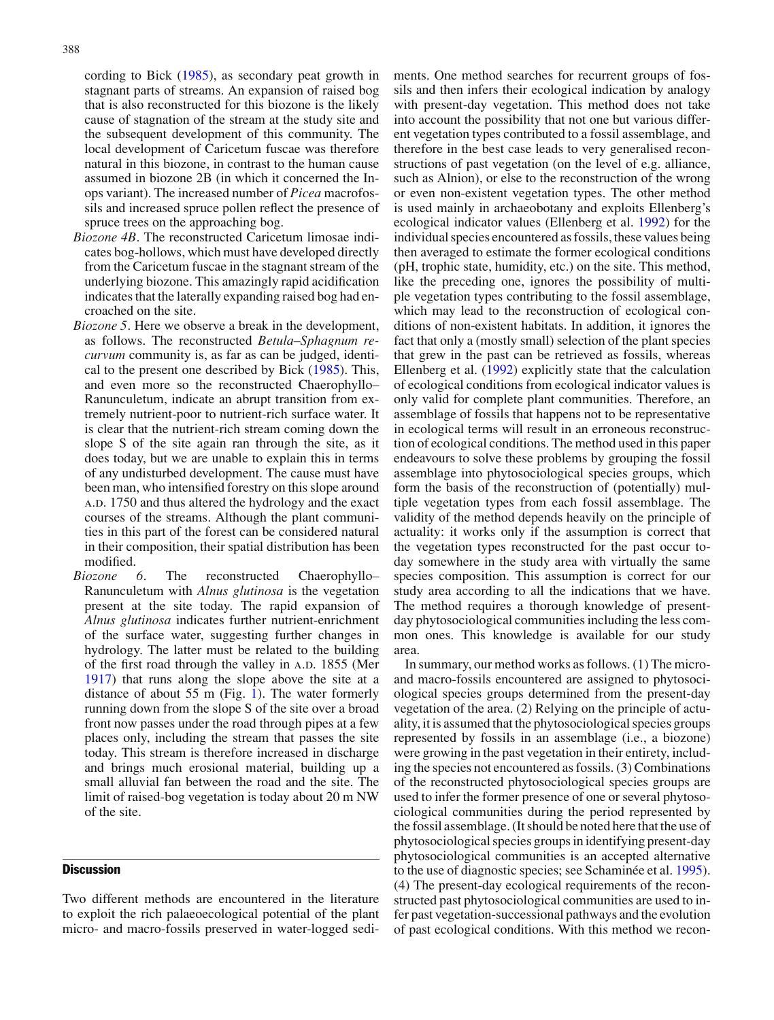cording to Bick (1985), as secondary peat growth in stagnant parts of streams. An expansion of raised bog that is also reconstructed for this biozone is the likely cause of stagnation of the stream at the study site and the subsequent development of this community. The local development of Caricetum fuscae was therefore natural in this biozone, in contrast to the human cause assumed in biozone 2B (in which it concerned the Inops variant). The increased number of *Picea* macrofossils and increased spruce pollen reflect the presence of spruce trees on the approaching bog.

- *Biozone 4B*. The reconstructed Caricetum limosae indicates bog-hollows, which must have developed directly from the Caricetum fuscae in the stagnant stream of the underlying biozone. This amazingly rapid acidification indicates that the laterally expanding raised bog had encroached on the site.
- *Biozone 5*. Here we observe a break in the development, as follows. The reconstructed *Betula–Sphagnum recurvum* community is, as far as can be judged, identical to the present one described by Bick (1985). This, and even more so the reconstructed Chaerophyllo– Ranunculetum, indicate an abrupt transition from extremely nutrient-poor to nutrient-rich surface water. It is clear that the nutrient-rich stream coming down the slope S of the site again ran through the site, as it does today, but we are unable to explain this in terms of any undisturbed development. The cause must have been man, who intensified forestry on this slope around A.D. 1750 and thus altered the hydrology and the exact courses of the streams. Although the plant communities in this part of the forest can be considered natural in their composition, their spatial distribution has been modified.<br>Biozone
- *Biozone 6*. The reconstructed Chaerophyllo– Ranunculetum with *Alnus glutinosa* is the vegetation present at the site today. The rapid expansion of *Alnus glutinosa* indicates further nutrient-enrichment of the surface water, suggesting further changes in hydrology. The latter must be related to the building of the first road through the valley in A.D. 1855 (Mer 1917) that runs along the slope above the site at a distance of about 55 m (Fig. 1). The water formerly running down from the slope S of the site over a broad front now passes under the road through pipes at a few places only, including the stream that passes the site today. This stream is therefore increased in discharge and brings much erosional material, building up a small alluvial fan between the road and the site. The limit of raised-bog vegetation is today about 20 m NW of the site.

#### **Discussion**

Two different methods are encountered in the literature to exploit the rich palaeoecological potential of the plant micro- and macro-fossils preserved in water-logged sediments. One method searches for recurrent groups of fossils and then infers their ecological indication by analogy with present-day vegetation. This method does not take into account the possibility that not one but various different vegetation types contributed to a fossil assemblage, and therefore in the best case leads to very generalised reconstructions of past vegetation (on the level of e.g. alliance, such as Alnion), or else to the reconstruction of the wrong or even non-existent vegetation types. The other method is used mainly in archaeobotany and exploits Ellenberg's ecological indicator values (Ellenberg et al. 1992) for the individual species encountered as fossils, these values being then averaged to estimate the former ecological conditions (pH, trophic state, humidity, etc.) on the site. This method, like the preceding one, ignores the possibility of multiple vegetation types contributing to the fossil assemblage, which may lead to the reconstruction of ecological conditions of non-existent habitats. In addition, it ignores the fact that only a (mostly small) selection of the plant species that grew in the past can be retrieved as fossils, whereas Ellenberg et al. (1992) explicitly state that the calculation of ecological conditions from ecological indicator values is only valid for complete plant communities. Therefore, an assemblage of fossils that happens not to be representative in ecological terms will result in an erroneous reconstruction of ecological conditions. The method used in this paper endeavours to solve these problems by grouping the fossil assemblage into phytosociological species groups, which form the basis of the reconstruction of (potentially) multiple vegetation types from each fossil assemblage. The validity of the method depends heavily on the principle of actuality: it works only if the assumption is correct that the vegetation types reconstructed for the past occur today somewhere in the study area with virtually the same species composition. This assumption is correct for our study area according to all the indications that we have. The method requires a thorough knowledge of presentday phytosociological communities including the less common ones. This knowledge is available for our study area.

In summary, our method works as follows. (1) The microand macro-fossils encountered are assigned to phytosociological species groups determined from the present-day vegetation of the area. (2) Relying on the principle of actuality, it is assumed that the phytosociological species groups represented by fossils in an assemblage (i.e., a biozone) were growing in the past vegetation in their entirety, including the species not encountered as fossils. (3) Combinations of the reconstructed phytosociological species groups are used to infer the former presence of one or several phytosociological communities during the period represented by the fossil assemblage. (It should be noted here that the use of phytosociological species groups in identifying present-day phytosociological communities is an accepted alternative to the use of diagnostic species; see Schaminée et al. 1995). (4) The present-day ecological requirements of the reconstructed past phytosociological communities are used to infer past vegetation-successional pathways and the evolution of past ecological conditions. With this method we recon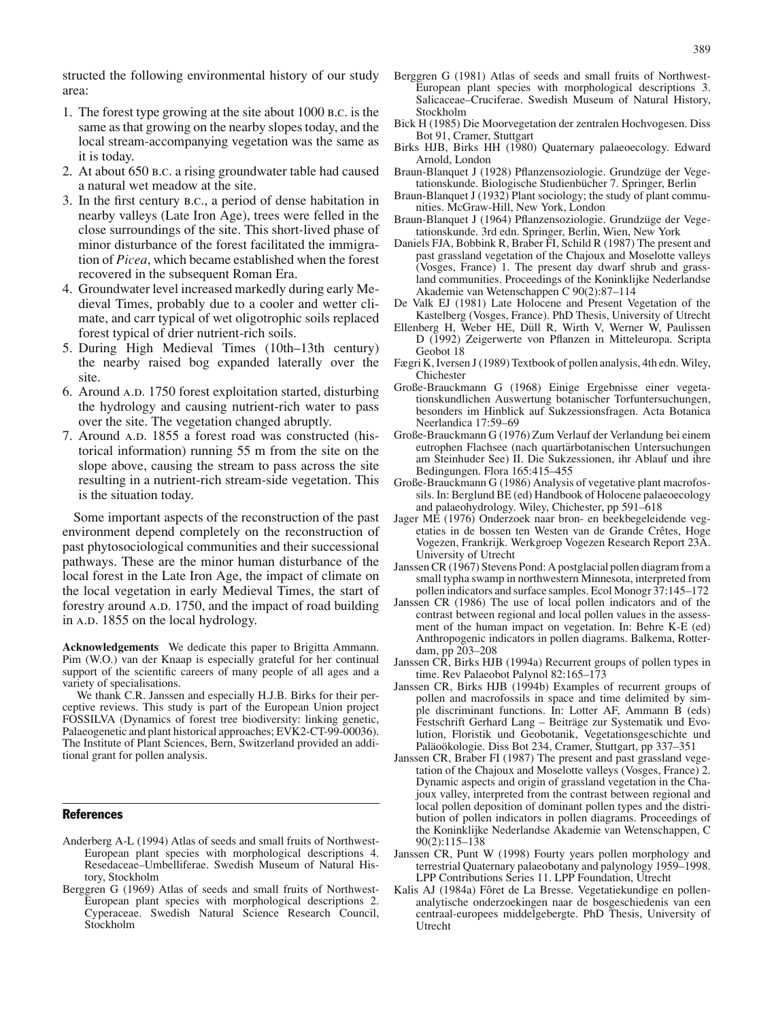structed the following environmental history of our study area:

- 1. The forest type growing at the site about 1000 b.c. is the same as that growing on the nearby slopes today, and the local stream-accompanying vegetation was the same as it is today.
- 2. At about 650 b.c. a rising groundwater table had caused a natural wet meadow at the site.
- 3. In the first century b.c., a period of dense habitation in nearby valleys (Late Iron Age), trees were felled in the close surroundings of the site. This short-lived phase of minor disturbance of the forest facilitated the immigration of *Picea*, which became established when the forest recovered in the subsequent Roman Era.
- 4. Groundwater level increased markedly during early Medieval Times, probably due to a cooler and wetter climate, and carr typical of wet oligotrophic soils replaced forest typical of drier nutrient-rich soils.
- 5. During High Medieval Times (10th–13th century) the nearby raised bog expanded laterally over the site.
- 6. Around A.D. 1750 forest exploitation started, disturbing the hydrology and causing nutrient-rich water to pass over the site. The vegetation changed abruptly.
- 7. Around A.D. 1855 a forest road was constructed (historical information) running 55 m from the site on the slope above, causing the stream to pass across the site resulting in a nutrient-rich stream-side vegetation. This is the situation today.

Some important aspects of the reconstruction of the past environment depend completely on the reconstruction of past phytosociological communities and their successional pathways. These are the minor human disturbance of the local forest in the Late Iron Age, the impact of climate on the local vegetation in early Medieval Times, the start of forestry around A.D. 1750, and the impact of road building in A.D. 1855 on the local hydrology.

**Acknowledgements** We dedicate this paper to Brigitta Ammann. Pim (W.O.) van der Knaap is especially grateful for her continual support of the scientific careers of many people of all ages and a variety of specialisations.

We thank C.R. Janssen and especially H.J.B. Birks for their perceptive reviews. This study is part of the European Union project FOSSILVA (Dynamics of forest tree biodiversity: linking genetic, Palaeogenetic and plant historical approaches; EVK2-CT-99-00036). The Institute of Plant Sciences, Bern, Switzerland provided an additional grant for pollen analysis.

## **References**

- Anderberg A-L (1994) Atlas of seeds and small fruits of Northwest-European plant species with morphological descriptions 4. Resedaceae–Umbelliferae. Swedish Museum of Natural History, Stockholm
- Berggren G (1969) Atlas of seeds and small fruits of Northwest-European plant species with morphological descriptions 2. Cyperaceae. Swedish Natural Science Research Council, Stockholm
- Berggren G (1981) Atlas of seeds and small fruits of Northwest-European plant species with morphological descriptions 3. Salicaceae–Cruciferae. Swedish Museum of Natural History, Stockholm
- Bick H (1985) Die Moorvegetation der zentralen Hochvogesen. Diss Bot 91, Cramer, Stuttgart
- Birks HJB, Birks HH (1980) Quaternary palaeoecology. Edward Arnold, London
- Braun-Blanquet J (1928) Pflanzensoziologie. Grundzüge der Vegetationskunde. Biologische Studienbücher 7. Springer, Berlin
- Braun-Blanquet J (1932) Plant sociology; the study of plant communities. McGraw-Hill, New York, London
- Braun-Blanquet J (1964) Pflanzensoziologie. Grundzüge der Vegetationskunde. 3rd edn. Springer, Berlin, Wien, New York
- Daniels FJA, Bobbink R, Braber FI, Schild R (1987) The present and past grassland vegetation of the Chajoux and Moselotte valleys (Vosges, France) 1. The present day dwarf shrub and grassland communities. Proceedings of the Koninklijke Nederlandse Akademie van Wetenschappen C 90(2):87–114
- De Valk EJ (1981) Late Holocene and Present Vegetation of the Kastelberg (Vosges, France). PhD Thesis, University of Utrecht
- Ellenberg H, Weber HE, Düll R, Wirth V, Werner W, Paulissen D (1992) Zeigerwerte von Pflanzen in Mitteleuropa. Scripta Geobot 18
- Fægri K, Iversen J (1989) Textbook of pollen analysis, 4th edn. Wiley, Chichester
- Große-Brauckmann G (1968) Einige Ergebnisse einer vegetationskundlichen Auswertung botanischer Torfuntersuchungen, besonders im Hinblick auf Sukzessionsfragen. Acta Botanica Neerlandica 17:59–69
- Große-Brauckmann G (1976) Zum Verlauf der Verlandung bei einem eutrophen Flachsee (nach quartärbotanischen Untersuchungen am Steinhuder See) II. Die Sukzessionen, ihr Ablauf und ihre Bedingungen. Flora 165:415–455
- Große-Brauckmann G (1986) Analysis of vegetative plant macrofossils. In: Berglund BE (ed) Handbook of Holocene palaeoecology and palaeohydrology. Wiley, Chichester, pp 591–618
- Jager ME (1976) Onderzoek naar bron- en beekbegeleidende vegetaties in de bossen ten Westen van de Grande Crêtes, Hoge Vogezen, Frankrijk. Werkgroep Vogezen Research Report 23A. University of Utrecht
- Janssen CR (1967) Stevens Pond: A postglacial pollen diagram from a small typha swamp in northwestern Minnesota, interpreted from pollen indicators and surface samples. Ecol Monogr 37:145–172
- Janssen CR (1986) The use of local pollen indicators and of the contrast between regional and local pollen values in the assessment of the human impact on vegetation. In: Behre K-E (ed) Anthropogenic indicators in pollen diagrams. Balkema, Rotterdam, pp 203–208
- Janssen CR, Birks HJB (1994a) Recurrent groups of pollen types in time. Rev Palaeobot Palynol 82:165–173
- Janssen CR, Birks HJB (1994b) Examples of recurrent groups of pollen and macrofossils in space and time delimited by simple discriminant functions. In: Lotter AF, Ammann B (eds) Festschrift Gerhard Lang – Beiträge zur Systematik und Evolution, Floristik und Geobotanik, Vegetationsgeschichte und Paläoökologie. Diss Bot 234, Cramer, Stuttgart, pp 337–351
- Janssen CR, Braber FI (1987) The present and past grassland vegetation of the Chajoux and Moselotte valleys (Vosges, France) 2. Dynamic aspects and origin of grassland vegetation in the Chajoux valley, interpreted from the contrast between regional and local pollen deposition of dominant pollen types and the distribution of pollen indicators in pollen diagrams. Proceedings of the Koninklijke Nederlandse Akademie van Wetenschappen, C 90(2):115–138
- Janssen CR, Punt W (1998) Fourty years pollen morphology and terrestrial Quaternary palaeobotany and palynology 1959–1998. LPP Contributions Series 11. LPP Foundation, Utrecht
- Kalis AJ (1984a) Fôret de La Bresse. Vegetatiekundige en pollenanalytische onderzoekingen naar de bosgeschiedenis van een centraal-europees middelgebergte. PhD Thesis, University of Utrecht